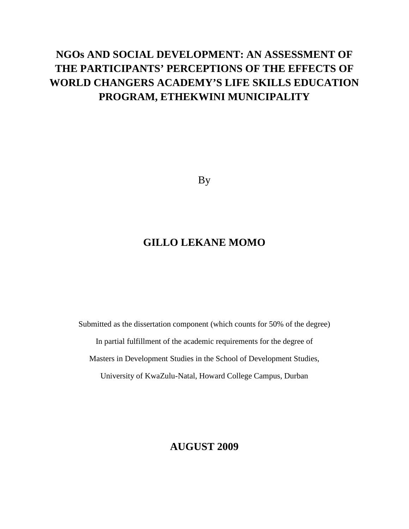# **NGOs AND SOCIAL DEVELOPMENT: AN ASSESSMENT OF THE PARTICIPANTS' PERCEPTIONS OF THE EFFECTS OF WORLD CHANGERS ACADEMY'S LIFE SKILLS EDUCATION PROGRAM, ETHEKWINI MUNICIPALITY**

By

# **GILLO LEKANE MOMO**

Submitted as the dissertation component (which counts for 50% of the degree) In partial fulfillment of the academic requirements for the degree of Masters in Development Studies in the School of Development Studies, University of KwaZulu-Natal, Howard College Campus, Durban

## **AUGUST 2009**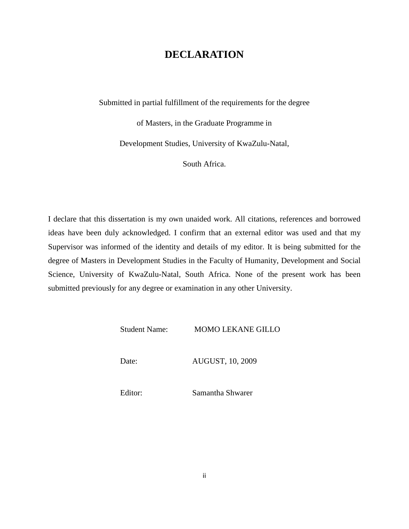## **DECLARATION**

Submitted in partial fulfillment of the requirements for the degree

of Masters, in the Graduate Programme in

Development Studies, University of KwaZulu-Natal,

South Africa.

I declare that this dissertation is my own unaided work. All citations, references and borrowed ideas have been duly acknowledged. I confirm that an external editor was used and that my Supervisor was informed of the identity and details of my editor. It is being submitted for the degree of Masters in Development Studies in the Faculty of Humanity, Development and Social Science, University of KwaZulu-Natal, South Africa. None of the present work has been submitted previously for any degree or examination in any other University.

Student Name: MOMO LEKANE GILLO

Date: AUGUST, 10, 2009

Editor: Samantha Shwarer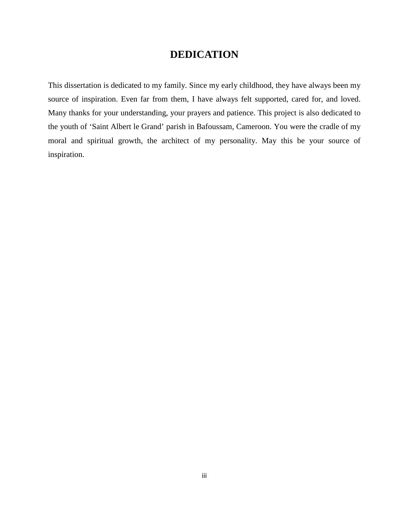## **DEDICATION**

This dissertation is dedicated to my family. Since my early childhood, they have always been my source of inspiration. Even far from them, I have always felt supported, cared for, and loved. Many thanks for your understanding, your prayers and patience. This project is also dedicated to the youth of 'Saint Albert le Grand' parish in Bafoussam, Cameroon. You were the cradle of my moral and spiritual growth, the architect of my personality. May this be your source of inspiration.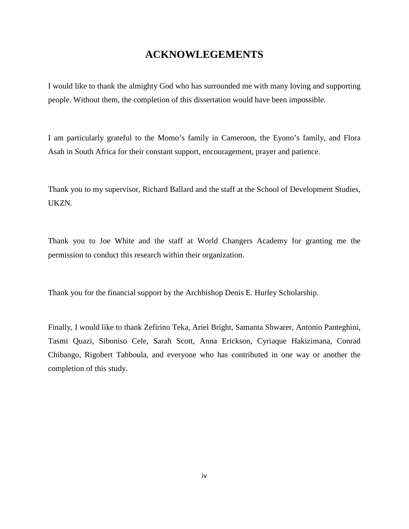## **ACKNOWLEGEMENTS**

I would like to thank the almighty God who has surrounded me with many loving and supporting people. Without them, the completion of this dissertation would have been impossible.

I am particularly grateful to the Momo's family in Cameroon, the Eyono's family, and Flora Asah in South Africa for their constant support, encouragement, prayer and patience.

Thank you to my supervisor, Richard Ballard and the staff at the School of Development Studies, UKZN.

Thank you to Joe White and the staff at World Changers Academy for granting me the permission to conduct this research within their organization.

Thank you for the financial support by the Archbishop Denis E. Hurley Scholarship.

Finally, I would like to thank Zefirino Teka, Ariel Bright, Samanta Shwarer, Antonio Panteghini, Tasmi Quazi, Siboniso Cele, Sarah Scott, Anna Erickson, Cyriaque Hakizimana, Conrad Chibango, Rigobert Tahboula, and everyone who has contributed in one way or another the completion of this study.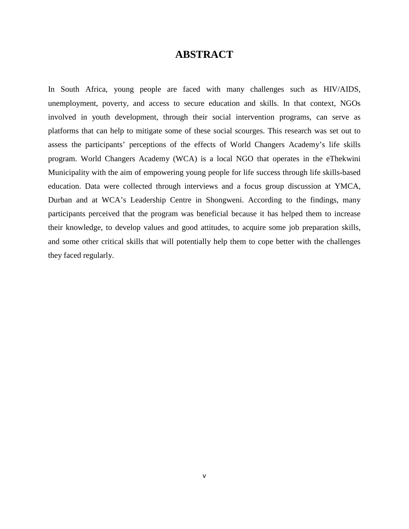## **ABSTRACT**

In South Africa, young people are faced with many challenges such as HIV/AIDS, unemployment, poverty, and access to secure education and skills. In that context, NGOs involved in youth development, through their social intervention programs, can serve as platforms that can help to mitigate some of these social scourges. This research was set out to assess the participants' perceptions of the effects of World Changers Academy's life skills program. World Changers Academy (WCA) is a local NGO that operates in the eThekwini Municipality with the aim of empowering young people for life success through life skills-based education. Data were collected through interviews and a focus group discussion at YMCA, Durban and at WCA's Leadership Centre in Shongweni. According to the findings, many participants perceived that the program was beneficial because it has helped them to increase their knowledge, to develop values and good attitudes, to acquire some job preparation skills, and some other critical skills that will potentially help them to cope better with the challenges they faced regularly.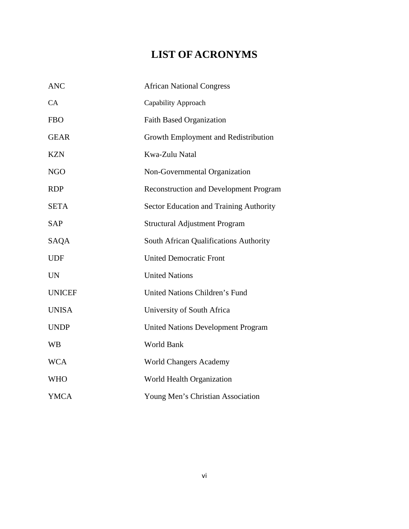# **LIST OF ACRONYMS**

| <b>ANC</b>    | <b>African National Congress</b>              |  |  |
|---------------|-----------------------------------------------|--|--|
| CA            | Capability Approach                           |  |  |
| <b>FBO</b>    | <b>Faith Based Organization</b>               |  |  |
| <b>GEAR</b>   | Growth Employment and Redistribution          |  |  |
| <b>KZN</b>    | Kwa-Zulu Natal                                |  |  |
| <b>NGO</b>    | Non-Governmental Organization                 |  |  |
| <b>RDP</b>    | <b>Reconstruction and Development Program</b> |  |  |
| <b>SETA</b>   | Sector Education and Training Authority       |  |  |
| <b>SAP</b>    | <b>Structural Adjustment Program</b>          |  |  |
| SAQA          | South African Qualifications Authority        |  |  |
| <b>UDF</b>    | <b>United Democratic Front</b>                |  |  |
| <b>UN</b>     | <b>United Nations</b>                         |  |  |
| <b>UNICEF</b> | <b>United Nations Children's Fund</b>         |  |  |
| <b>UNISA</b>  | University of South Africa                    |  |  |
| <b>UNDP</b>   | <b>United Nations Development Program</b>     |  |  |
| <b>WB</b>     | World Bank                                    |  |  |
| <b>WCA</b>    | <b>World Changers Academy</b>                 |  |  |
| <b>WHO</b>    | World Health Organization                     |  |  |
| <b>YMCA</b>   | Young Men's Christian Association             |  |  |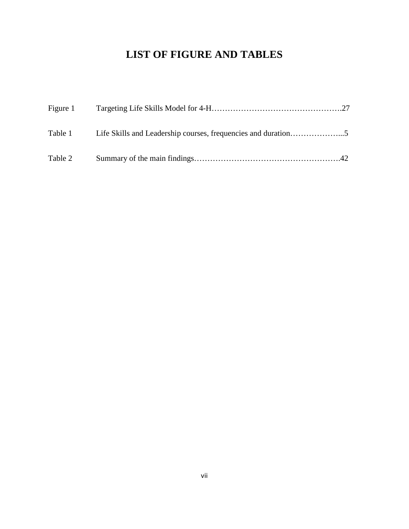# **LIST OF FIGURE AND TABLES**

| Figure 1 |  |
|----------|--|
|          |  |
| Table 2  |  |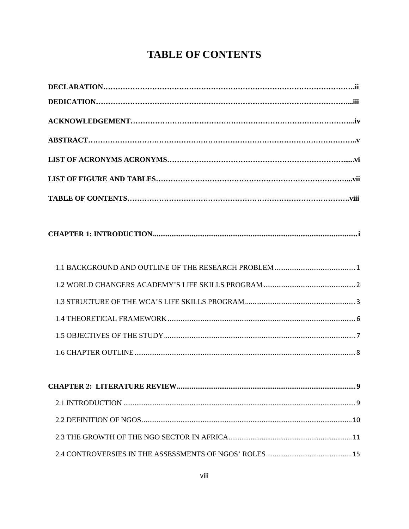# **TABLE OF CONTENTS**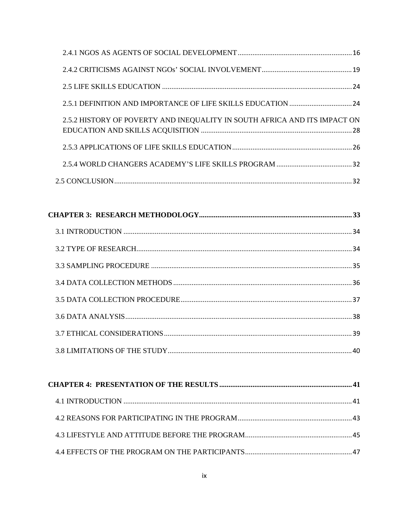| 2.5.2 HISTORY OF POVERTY AND INEQUALITY IN SOUTH AFRICA AND ITS IMPACT ON |  |
|---------------------------------------------------------------------------|--|
|                                                                           |  |
|                                                                           |  |
|                                                                           |  |
|                                                                           |  |
|                                                                           |  |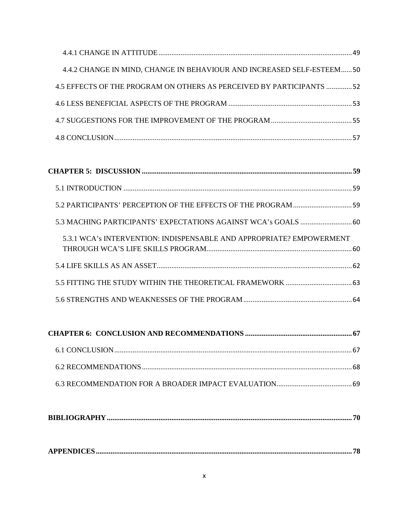| 4.4.2 CHANGE IN MIND, CHANGE IN BEHAVIOUR AND INCREASED SELF-ESTEEM50 |  |
|-----------------------------------------------------------------------|--|
| 4.5 EFFECTS OF THE PROGRAM ON OTHERS AS PERCEIVED BY PARTICIPANTS 52  |  |
|                                                                       |  |
|                                                                       |  |
|                                                                       |  |
|                                                                       |  |

| 5.3 MACHING PARTICIPANTS' EXPECTATIONS AGAINST WCA's GOALS  60       |  |
|----------------------------------------------------------------------|--|
| 5.3.1 WCA's INTERVENTION: INDISPENSABLE AND APPROPRIATE? EMPOWERMENT |  |
|                                                                      |  |
|                                                                      |  |
|                                                                      |  |

|--|

|--|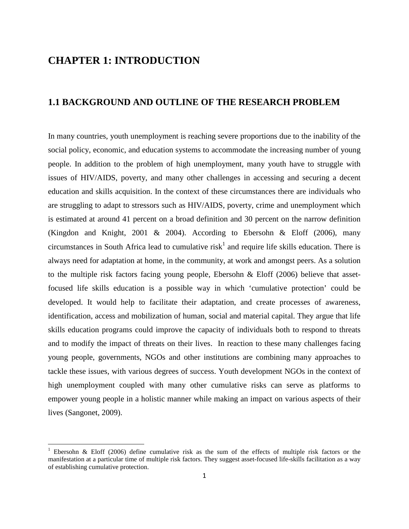# **CHAPTER 1: INTRODUCTION**

 $\overline{a}$ 

## **1.1 BACKGROUND AND OUTLINE OF THE RESEARCH PROBLEM**

In many countries, youth unemployment is reaching severe proportions due to the inability of the social policy, economic, and education systems to accommodate the increasing number of young people. In addition to the problem of high unemployment, many youth have to struggle with issues of HIV/AIDS, poverty, and many other challenges in accessing and securing a decent education and skills acquisition. In the context of these circumstances there are individuals who are struggling to adapt to stressors such as HIV/AIDS, poverty, crime and unemployment which is estimated at around 41 percent on a broad definition and 30 percent on the narrow definition (Kingdon and Knight, 2001 & 2004). According to Ebersohn & Eloff (2006), many circumstances in South Africa lead to cumulative risk<sup>1</sup> and require life skills education. There is always need for adaptation at home, in the community, at work and amongst peers. As a solution to the multiple risk factors facing young people, Ebersohn & Eloff (2006) believe that assetfocused life skills education is a possible way in which 'cumulative protection' could be developed. It would help to facilitate their adaptation, and create processes of awareness, identification, access and mobilization of human, social and material capital. They argue that life skills education programs could improve the capacity of individuals both to respond to threats and to modify the impact of threats on their lives. In reaction to these many challenges facing young people, governments, NGOs and other institutions are combining many approaches to tackle these issues, with various degrees of success. Youth development NGOs in the context of high unemployment coupled with many other cumulative risks can serve as platforms to empower young people in a holistic manner while making an impact on various aspects of their lives (Sangonet, 2009).

<sup>1</sup> Ebersohn & Eloff (2006) define cumulative risk as the sum of the effects of multiple risk factors or the manifestation at a particular time of multiple risk factors. They suggest asset-focused life-skills facilitation as a way of establishing cumulative protection.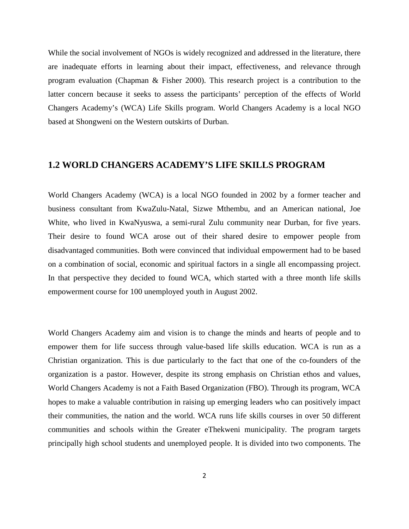While the social involvement of NGOs is widely recognized and addressed in the literature, there are inadequate efforts in learning about their impact, effectiveness, and relevance through program evaluation (Chapman & Fisher 2000). This research project is a contribution to the latter concern because it seeks to assess the participants' perception of the effects of World Changers Academy's (WCA) Life Skills program. World Changers Academy is a local NGO based at Shongweni on the Western outskirts of Durban.

## **1.2 WORLD CHANGERS ACADEMY'S LIFE SKILLS PROGRAM**

World Changers Academy (WCA) is a local NGO founded in 2002 by a former teacher and business consultant from KwaZulu-Natal, Sizwe Mthembu, and an American national, Joe White, who lived in KwaNyuswa, a semi-rural Zulu community near Durban, for five years. Their desire to found WCA arose out of their shared desire to empower people from disadvantaged communities. Both were convinced that individual empowerment had to be based on a combination of social, economic and spiritual factors in a single all encompassing project. In that perspective they decided to found WCA, which started with a three month life skills empowerment course for 100 unemployed youth in August 2002.

World Changers Academy aim and vision is to change the minds and hearts of people and to empower them for life success through value-based life skills education. WCA is run as a Christian organization. This is due particularly to the fact that one of the co-founders of the organization is a pastor. However, despite its strong emphasis on Christian ethos and values, World Changers Academy is not a Faith Based Organization (FBO). Through its program, WCA hopes to make a valuable contribution in raising up emerging leaders who can positively impact their communities, the nation and the world. WCA runs life skills courses in over 50 different communities and schools within the Greater eThekweni municipality. The program targets principally high school students and unemployed people. It is divided into two components. The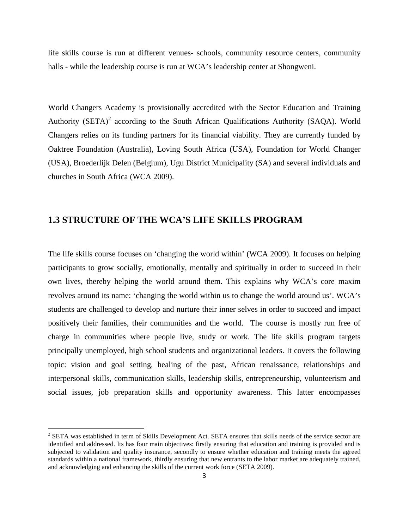life skills course is run at different venues- schools, community resource centers, community halls - while the leadership course is run at WCA's leadership center at Shongweni.

World Changers Academy is provisionally accredited with the Sector Education and Training Authority  $(SETA)^2$  according to the South African Qualifications Authority (SAQA). World Changers relies on its funding partners for its financial viability. They are currently funded by Oaktree Foundation (Australia), Loving South Africa (USA), Foundation for World Changer (USA), Broederlijk Delen (Belgium), Ugu District Municipality (SA) and several individuals and churches in South Africa (WCA 2009).

#### **1.3 STRUCTURE OF THE WCA'S LIFE SKILLS PROGRAM**

The life skills course focuses on 'changing the world within' (WCA 2009). It focuses on helping participants to grow socially, emotionally, mentally and spiritually in order to succeed in their own lives, thereby helping the world around them. This explains why WCA's core maxim revolves around its name: 'changing the world within us to change the world around us'. WCA's students are challenged to develop and nurture their inner selves in order to succeed and impact positively their families, their communities and the world. The course is mostly run free of charge in communities where people live, study or work. The life skills program targets principally unemployed, high school students and organizational leaders. It covers the following topic: vision and goal setting, healing of the past, African renaissance, relationships and interpersonal skills, communication skills, leadership skills, entrepreneurship, volunteerism and social issues, job preparation skills and opportunity awareness. This latter encompasses

 $\overline{a}$ 

<sup>&</sup>lt;sup>2</sup> SETA was established in term of Skills Development Act. SETA ensures that skills needs of the service sector are identified and addressed. Its has four main objectives: firstly ensuring that education and training is provided and is subjected to validation and quality insurance, secondly to ensure whether education and training meets the agreed standards within a national framework, thirdly ensuring that new entrants to the labor market are adequately trained, and acknowledging and enhancing the skills of the current work force (SETA 2009).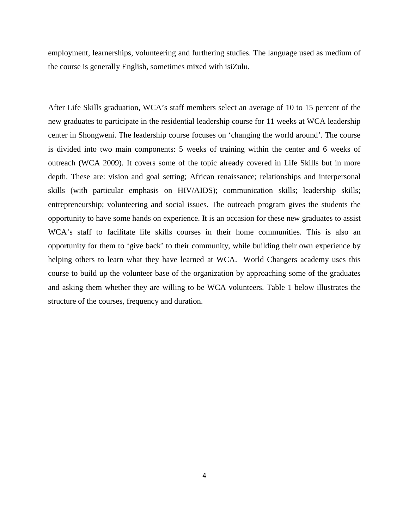employment, learnerships, volunteering and furthering studies. The language used as medium of the course is generally English, sometimes mixed with isiZulu.

After Life Skills graduation, WCA's staff members select an average of 10 to 15 percent of the new graduates to participate in the residential leadership course for 11 weeks at WCA leadership center in Shongweni. The leadership course focuses on 'changing the world around'. The course is divided into two main components: 5 weeks of training within the center and 6 weeks of outreach (WCA 2009). It covers some of the topic already covered in Life Skills but in more depth. These are: vision and goal setting; African renaissance; relationships and interpersonal skills (with particular emphasis on HIV/AIDS); communication skills; leadership skills; entrepreneurship; volunteering and social issues. The outreach program gives the students the opportunity to have some hands on experience. It is an occasion for these new graduates to assist WCA's staff to facilitate life skills courses in their home communities. This is also an opportunity for them to 'give back' to their community, while building their own experience by helping others to learn what they have learned at WCA. World Changers academy uses this course to build up the volunteer base of the organization by approaching some of the graduates and asking them whether they are willing to be WCA volunteers. Table 1 below illustrates the structure of the courses, frequency and duration.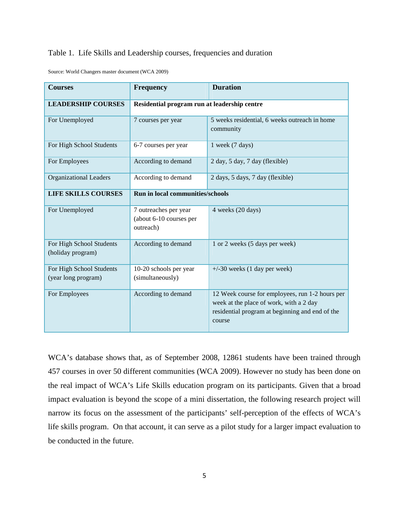#### Table 1. Life Skills and Leadership courses, frequencies and duration

| Source: World Changers master document (WCA 2009) |  |  |  |  |  |
|---------------------------------------------------|--|--|--|--|--|
|---------------------------------------------------|--|--|--|--|--|

| <b>Courses</b>                                  | <b>Frequency</b>                                              | <b>Duration</b>                                                                                                                                         |
|-------------------------------------------------|---------------------------------------------------------------|---------------------------------------------------------------------------------------------------------------------------------------------------------|
| <b>LEADERSHIP COURSES</b>                       | Residential program run at leadership centre                  |                                                                                                                                                         |
| For Unemployed                                  | 7 courses per year                                            | 5 weeks residential, 6 weeks outreach in home<br>community                                                                                              |
| For High School Students                        | 6-7 courses per year                                          | 1 week (7 days)                                                                                                                                         |
| For Employees                                   | According to demand                                           | 2 day, 5 day, 7 day (flexible)                                                                                                                          |
| <b>Organizational Leaders</b>                   | According to demand                                           | 2 days, 5 days, 7 day (flexible)                                                                                                                        |
| <b>LIFE SKILLS COURSES</b>                      | <b>Run in local communities/schools</b>                       |                                                                                                                                                         |
| For Unemployed                                  | 7 outreaches per year<br>(about 6-10 courses per<br>outreach) | 4 weeks (20 days)                                                                                                                                       |
| For High School Students<br>(holiday program)   | According to demand                                           | 1 or 2 weeks (5 days per week)                                                                                                                          |
| For High School Students<br>(year long program) | 10-20 schools per year<br>(simultaneously)                    | $+/-30$ weeks (1 day per week)                                                                                                                          |
| For Employees                                   | According to demand                                           | 12 Week course for employees, run 1-2 hours per<br>week at the place of work, with a 2 day<br>residential program at beginning and end of the<br>course |

WCA's database shows that, as of September 2008, 12861 students have been trained through 457 courses in over 50 different communities (WCA 2009). However no study has been done on the real impact of WCA's Life Skills education program on its participants. Given that a broad impact evaluation is beyond the scope of a mini dissertation, the following research project will narrow its focus on the assessment of the participants' self-perception of the effects of WCA's life skills program. On that account, it can serve as a pilot study for a larger impact evaluation to be conducted in the future.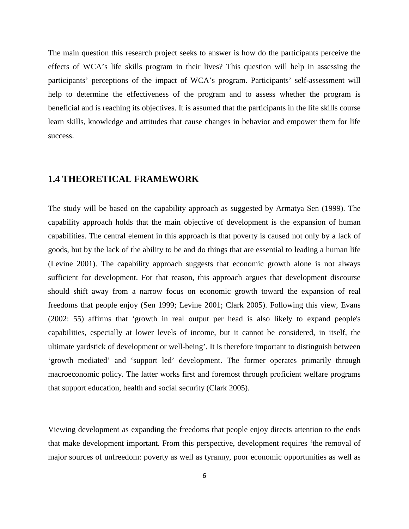The main question this research project seeks to answer is how do the participants perceive the effects of WCA's life skills program in their lives? This question will help in assessing the participants' perceptions of the impact of WCA's program. Participants' self-assessment will help to determine the effectiveness of the program and to assess whether the program is beneficial and is reaching its objectives. It is assumed that the participants in the life skills course learn skills, knowledge and attitudes that cause changes in behavior and empower them for life success.

#### **1.4 THEORETICAL FRAMEWORK**

The study will be based on the capability approach as suggested by Armatya Sen (1999). The capability approach holds that the main objective of development is the expansion of human capabilities. The central element in this approach is that poverty is caused not only by a lack of goods, but by the lack of the ability to be and do things that are essential to leading a human life (Levine 2001). The capability approach suggests that economic growth alone is not always sufficient for development. For that reason, this approach argues that development discourse should shift away from a narrow focus on economic growth toward the expansion of real freedoms that people enjoy (Sen 1999; Levine 2001; Clark 2005). Following this view, Evans (2002: 55) affirms that 'growth in real output per head is also likely to expand people's capabilities, especially at lower levels of income, but it cannot be considered, in itself, the ultimate yardstick of development or well-being'. It is therefore important to distinguish between 'growth mediated' and 'support led' development. The former operates primarily through macroeconomic policy. The latter works first and foremost through proficient welfare programs that support education, health and social security (Clark 2005).

Viewing development as expanding the freedoms that people enjoy directs attention to the ends that make development important. From this perspective, development requires 'the removal of major sources of unfreedom: poverty as well as tyranny, poor economic opportunities as well as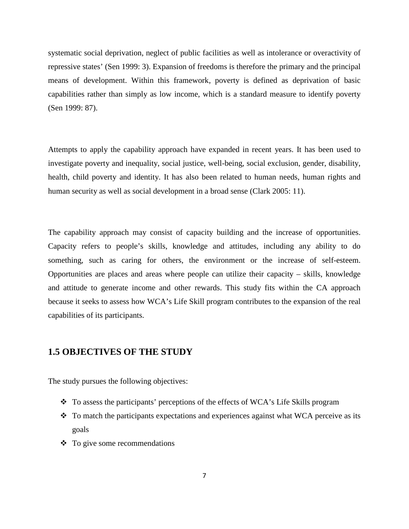systematic social deprivation, neglect of public facilities as well as intolerance or overactivity of repressive states' (Sen 1999: 3). Expansion of freedoms is therefore the primary and the principal means of development. Within this framework, poverty is defined as deprivation of basic capabilities rather than simply as low income, which is a standard measure to identify poverty (Sen 1999: 87).

Attempts to apply the capability approach have expanded in recent years. It has been used to investigate poverty and inequality, social justice, well-being, social exclusion, gender, disability, health, child poverty and identity. It has also been related to human needs, human rights and human security as well as social development in a broad sense (Clark 2005: 11).

The capability approach may consist of capacity building and the increase of opportunities. Capacity refers to people's skills, knowledge and attitudes, including any ability to do something, such as caring for others, the environment or the increase of self-esteem. Opportunities are places and areas where people can utilize their capacity – skills, knowledge and attitude to generate income and other rewards. This study fits within the CA approach because it seeks to assess how WCA's Life Skill program contributes to the expansion of the real capabilities of its participants.

#### **1.5 OBJECTIVES OF THE STUDY**

The study pursues the following objectives:

- To assess the participants' perceptions of the effects of WCA's Life Skills program
- $\div$  To match the participants expectations and experiences against what WCA perceive as its goals
- To give some recommendations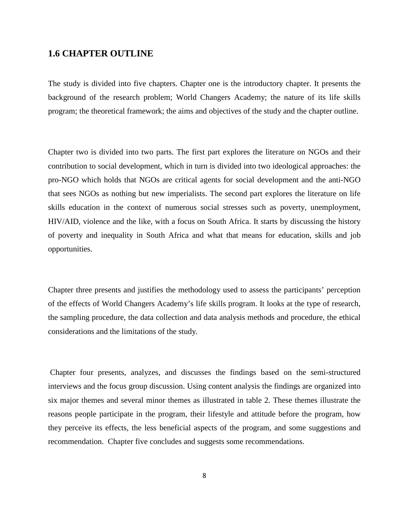### **1.6 CHAPTER OUTLINE**

The study is divided into five chapters. Chapter one is the introductory chapter. It presents the background of the research problem; World Changers Academy; the nature of its life skills program; the theoretical framework; the aims and objectives of the study and the chapter outline.

Chapter two is divided into two parts. The first part explores the literature on NGOs and their contribution to social development, which in turn is divided into two ideological approaches: the pro-NGO which holds that NGOs are critical agents for social development and the anti-NGO that sees NGOs as nothing but new imperialists. The second part explores the literature on life skills education in the context of numerous social stresses such as poverty, unemployment, HIV/AID, violence and the like, with a focus on South Africa. It starts by discussing the history of poverty and inequality in South Africa and what that means for education, skills and job opportunities.

Chapter three presents and justifies the methodology used to assess the participants' perception of the effects of World Changers Academy's life skills program. It looks at the type of research, the sampling procedure, the data collection and data analysis methods and procedure, the ethical considerations and the limitations of the study.

 Chapter four presents, analyzes, and discusses the findings based on the semi-structured interviews and the focus group discussion. Using content analysis the findings are organized into six major themes and several minor themes as illustrated in table 2. These themes illustrate the reasons people participate in the program, their lifestyle and attitude before the program, how they perceive its effects, the less beneficial aspects of the program, and some suggestions and recommendation. Chapter five concludes and suggests some recommendations.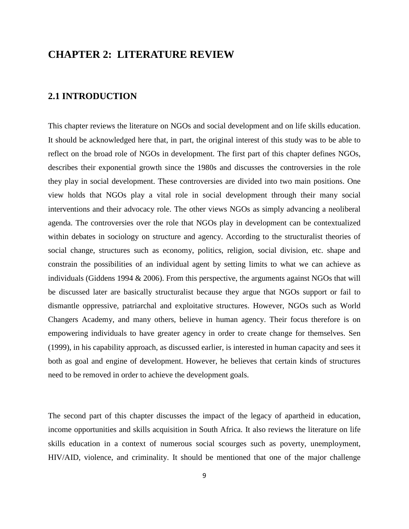## **CHAPTER 2: LITERATURE REVIEW**

### **2.1 INTRODUCTION**

This chapter reviews the literature on NGOs and social development and on life skills education. It should be acknowledged here that, in part, the original interest of this study was to be able to reflect on the broad role of NGOs in development. The first part of this chapter defines NGOs, describes their exponential growth since the 1980s and discusses the controversies in the role they play in social development. These controversies are divided into two main positions. One view holds that NGOs play a vital role in social development through their many social interventions and their advocacy role. The other views NGOs as simply advancing a neoliberal agenda. The controversies over the role that NGOs play in development can be contextualized within debates in sociology on structure and agency. According to the structuralist theories of social change, structures such as economy, politics, religion, social division, etc. shape and constrain the possibilities of an individual agent by setting limits to what we can achieve as individuals (Giddens 1994  $& 2006$ ). From this perspective, the arguments against NGOs that will be discussed later are basically structuralist because they argue that NGOs support or fail to dismantle oppressive, patriarchal and exploitative structures. However, NGOs such as World Changers Academy, and many others, believe in human agency. Their focus therefore is on empowering individuals to have greater agency in order to create change for themselves. Sen (1999), in his capability approach, as discussed earlier, is interested in human capacity and sees it both as goal and engine of development. However, he believes that certain kinds of structures need to be removed in order to achieve the development goals.

The second part of this chapter discusses the impact of the legacy of apartheid in education, income opportunities and skills acquisition in South Africa. It also reviews the literature on life skills education in a context of numerous social scourges such as poverty, unemployment, HIV/AID, violence, and criminality. It should be mentioned that one of the major challenge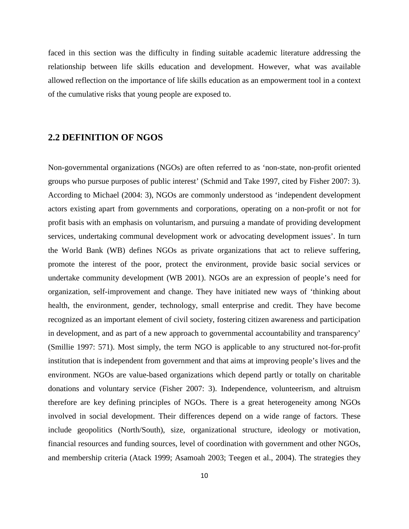faced in this section was the difficulty in finding suitable academic literature addressing the relationship between life skills education and development. However, what was available allowed reflection on the importance of life skills education as an empowerment tool in a context of the cumulative risks that young people are exposed to.

### **2.2 DEFINITION OF NGOS**

Non-governmental organizations (NGOs) are often referred to as 'non-state, non-profit oriented groups who pursue purposes of public interest' (Schmid and Take 1997, cited by Fisher 2007: 3). According to Michael (2004: 3), NGOs are commonly understood as 'independent development actors existing apart from governments and corporations, operating on a non-profit or not for profit basis with an emphasis on voluntarism, and pursuing a mandate of providing development services, undertaking communal development work or advocating development issues'. In turn the World Bank (WB) defines NGOs as private organizations that act to relieve suffering, promote the interest of the poor, protect the environment, provide basic social services or undertake community development (WB 2001). NGOs are an expression of people's need for organization, self-improvement and change. They have initiated new ways of 'thinking about health, the environment, gender, technology, small enterprise and credit. They have become recognized as an important element of civil society, fostering citizen awareness and participation in development, and as part of a new approach to governmental accountability and transparency' (Smillie 1997: 571). Most simply, the term NGO is applicable to any structured not-for-profit institution that is independent from government and that aims at improving people's lives and the environment. NGOs are value-based organizations which depend partly or totally on charitable donations and voluntary service (Fisher 2007: 3). Independence, volunteerism, and altruism therefore are key defining principles of NGOs. There is a great heterogeneity among NGOs involved in social development. Their differences depend on a wide range of factors. These include geopolitics (North/South), size, organizational structure, ideology or motivation, financial resources and funding sources, level of coordination with government and other NGOs, and membership criteria (Atack 1999; Asamoah 2003; Teegen et al., 2004). The strategies they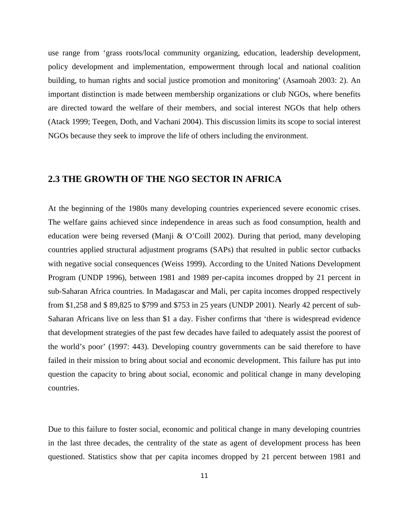use range from 'grass roots/local community organizing, education, leadership development, policy development and implementation, empowerment through local and national coalition building, to human rights and social justice promotion and monitoring' (Asamoah 2003: 2). An important distinction is made between membership organizations or club NGOs, where benefits are directed toward the welfare of their members, and social interest NGOs that help others (Atack 1999; Teegen, Doth, and Vachani 2004). This discussion limits its scope to social interest NGOs because they seek to improve the life of others including the environment.

#### **2.3 THE GROWTH OF THE NGO SECTOR IN AFRICA**

At the beginning of the 1980s many developing countries experienced severe economic crises. The welfare gains achieved since independence in areas such as food consumption, health and education were being reversed (Manji & O'Coill 2002). During that period, many developing countries applied structural adjustment programs (SAPs) that resulted in public sector cutbacks with negative social consequences (Weiss 1999). According to the United Nations Development Program (UNDP 1996), between 1981 and 1989 per-capita incomes dropped by 21 percent in sub-Saharan Africa countries. In Madagascar and Mali, per capita incomes dropped respectively from \$1,258 and \$ 89,825 to \$799 and \$753 in 25 years (UNDP 2001). Nearly 42 percent of sub-Saharan Africans live on less than \$1 a day. Fisher confirms that 'there is widespread evidence that development strategies of the past few decades have failed to adequately assist the poorest of the world's poor' (1997: 443). Developing country governments can be said therefore to have failed in their mission to bring about social and economic development. This failure has put into question the capacity to bring about social, economic and political change in many developing countries.

Due to this failure to foster social, economic and political change in many developing countries in the last three decades, the centrality of the state as agent of development process has been questioned. Statistics show that per capita incomes dropped by 21 percent between 1981 and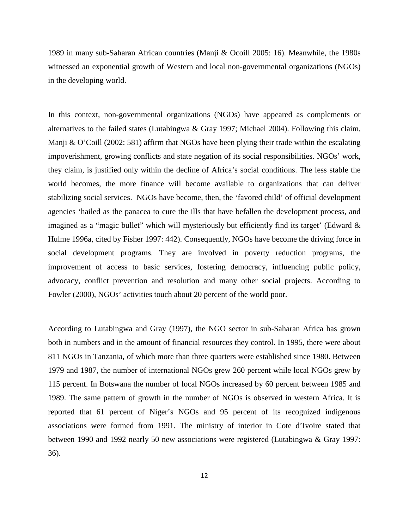1989 in many sub-Saharan African countries (Manji & Ocoill 2005: 16). Meanwhile, the 1980s witnessed an exponential growth of Western and local non-governmental organizations (NGOs) in the developing world.

In this context, non-governmental organizations (NGOs) have appeared as complements or alternatives to the failed states (Lutabingwa & Gray 1997; Michael 2004). Following this claim, Manji & O'Coill (2002: 581) affirm that NGOs have been plying their trade within the escalating impoverishment, growing conflicts and state negation of its social responsibilities. NGOs' work, they claim, is justified only within the decline of Africa's social conditions. The less stable the world becomes, the more finance will become available to organizations that can deliver stabilizing social services. NGOs have become, then, the 'favored child' of official development agencies 'hailed as the panacea to cure the ills that have befallen the development process, and imagined as a "magic bullet" which will mysteriously but efficiently find its target' (Edward & Hulme 1996a, cited by Fisher 1997: 442). Consequently, NGOs have become the driving force in social development programs. They are involved in poverty reduction programs, the improvement of access to basic services, fostering democracy, influencing public policy, advocacy, conflict prevention and resolution and many other social projects. According to Fowler (2000), NGOs' activities touch about 20 percent of the world poor.

According to Lutabingwa and Gray (1997), the NGO sector in sub-Saharan Africa has grown both in numbers and in the amount of financial resources they control. In 1995, there were about 811 NGOs in Tanzania, of which more than three quarters were established since 1980. Between 1979 and 1987, the number of international NGOs grew 260 percent while local NGOs grew by 115 percent. In Botswana the number of local NGOs increased by 60 percent between 1985 and 1989. The same pattern of growth in the number of NGOs is observed in western Africa. It is reported that 61 percent of Niger's NGOs and 95 percent of its recognized indigenous associations were formed from 1991. The ministry of interior in Cote d'Ivoire stated that between 1990 and 1992 nearly 50 new associations were registered (Lutabingwa & Gray 1997: 36).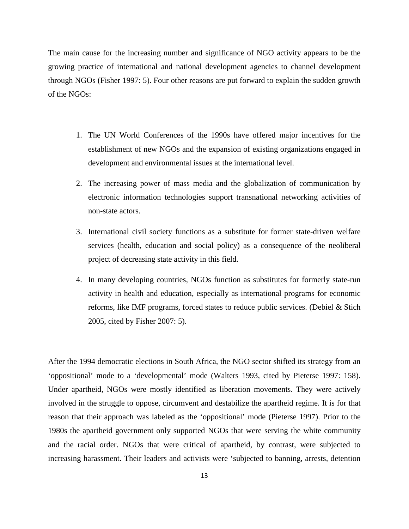The main cause for the increasing number and significance of NGO activity appears to be the growing practice of international and national development agencies to channel development through NGOs (Fisher 1997: 5). Four other reasons are put forward to explain the sudden growth of the NGOs:

- 1. The UN World Conferences of the 1990s have offered major incentives for the establishment of new NGOs and the expansion of existing organizations engaged in development and environmental issues at the international level.
- 2. The increasing power of mass media and the globalization of communication by electronic information technologies support transnational networking activities of non-state actors.
- 3. International civil society functions as a substitute for former state-driven welfare services (health, education and social policy) as a consequence of the neoliberal project of decreasing state activity in this field.
- 4. In many developing countries, NGOs function as substitutes for formerly state-run activity in health and education, especially as international programs for economic reforms, like IMF programs, forced states to reduce public services. (Debiel & Stich 2005, cited by Fisher 2007: 5).

After the 1994 democratic elections in South Africa, the NGO sector shifted its strategy from an 'oppositional' mode to a 'developmental' mode (Walters 1993, cited by Pieterse 1997: 158). Under apartheid, NGOs were mostly identified as liberation movements. They were actively involved in the struggle to oppose, circumvent and destabilize the apartheid regime. It is for that reason that their approach was labeled as the 'oppositional' mode (Pieterse 1997). Prior to the 1980s the apartheid government only supported NGOs that were serving the white community and the racial order. NGOs that were critical of apartheid, by contrast, were subjected to increasing harassment. Their leaders and activists were 'subjected to banning, arrests, detention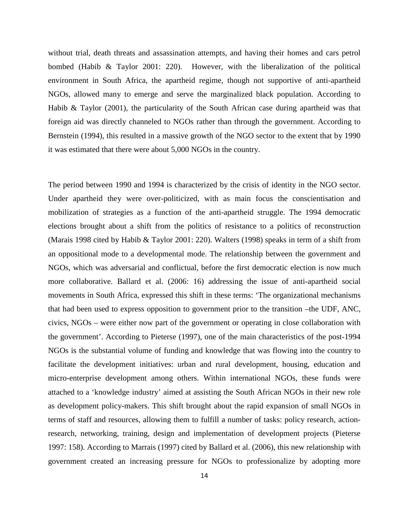without trial, death threats and assassination attempts, and having their homes and cars petrol bombed (Habib & Taylor 2001: 220). However, with the liberalization of the political environment in South Africa, the apartheid regime, though not supportive of anti-apartheid NGOs, allowed many to emerge and serve the marginalized black population. According to Habib & Taylor (2001), the particularity of the South African case during apartheid was that foreign aid was directly channeled to NGOs rather than through the government. According to Bernstein (1994), this resulted in a massive growth of the NGO sector to the extent that by 1990 it was estimated that there were about 5,000 NGOs in the country.

The period between 1990 and 1994 is characterized by the crisis of identity in the NGO sector. Under apartheid they were over-politicized, with as main focus the conscientisation and mobilization of strategies as a function of the anti-apartheid struggle. The 1994 democratic elections brought about a shift from the politics of resistance to a politics of reconstruction (Marais 1998 cited by Habib & Taylor 2001: 220). Walters (1998) speaks in term of a shift from an oppositional mode to a developmental mode. The relationship between the government and NGOs, which was adversarial and conflictual, before the first democratic election is now much more collaborative. Ballard et al. (2006: 16) addressing the issue of anti-apartheid social movements in South Africa, expressed this shift in these terms: 'The organizational mechanisms that had been used to express opposition to government prior to the transition –the UDF, ANC, civics, NGOs – were either now part of the government or operating in close collaboration with the government'. According to Pieterse (1997), one of the main characteristics of the post-1994 NGOs is the substantial volume of funding and knowledge that was flowing into the country to facilitate the development initiatives: urban and rural development, housing, education and micro-enterprise development among others. Within international NGOs, these funds were attached to a 'knowledge industry' aimed at assisting the South African NGOs in their new role as development policy-makers. This shift brought about the rapid expansion of small NGOs in terms of staff and resources, allowing them to fulfill a number of tasks: policy research, actionresearch, networking, training, design and implementation of development projects (Pieterse 1997: 158). According to Marrais (1997) cited by Ballard et al. (2006), this new relationship with government created an increasing pressure for NGOs to professionalize by adopting more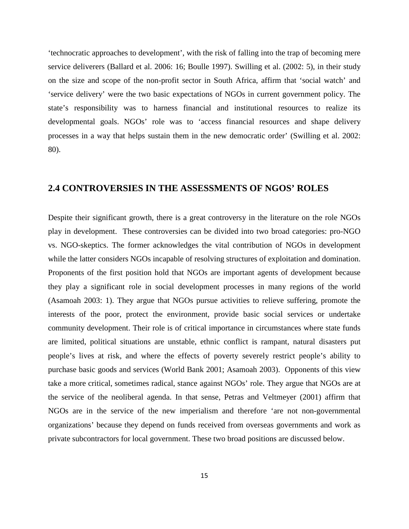'technocratic approaches to development', with the risk of falling into the trap of becoming mere service deliverers (Ballard et al. 2006: 16; Boulle 1997). Swilling et al. (2002: 5), in their study on the size and scope of the non-profit sector in South Africa, affirm that 'social watch' and 'service delivery' were the two basic expectations of NGOs in current government policy. The state's responsibility was to harness financial and institutional resources to realize its developmental goals. NGOs' role was to 'access financial resources and shape delivery processes in a way that helps sustain them in the new democratic order' (Swilling et al. 2002: 80).

## **2.4 CONTROVERSIES IN THE ASSESSMENTS OF NGOS' ROLES**

Despite their significant growth, there is a great controversy in the literature on the role NGOs play in development. These controversies can be divided into two broad categories: pro-NGO vs. NGO-skeptics. The former acknowledges the vital contribution of NGOs in development while the latter considers NGOs incapable of resolving structures of exploitation and domination. Proponents of the first position hold that NGOs are important agents of development because they play a significant role in social development processes in many regions of the world (Asamoah 2003: 1). They argue that NGOs pursue activities to relieve suffering, promote the interests of the poor, protect the environment, provide basic social services or undertake community development. Their role is of critical importance in circumstances where state funds are limited, political situations are unstable, ethnic conflict is rampant, natural disasters put people's lives at risk, and where the effects of poverty severely restrict people's ability to purchase basic goods and services (World Bank 2001; Asamoah 2003). Opponents of this view take a more critical, sometimes radical, stance against NGOs' role. They argue that NGOs are at the service of the neoliberal agenda. In that sense, Petras and Veltmeyer (2001) affirm that NGOs are in the service of the new imperialism and therefore 'are not non-governmental organizations' because they depend on funds received from overseas governments and work as private subcontractors for local government. These two broad positions are discussed below.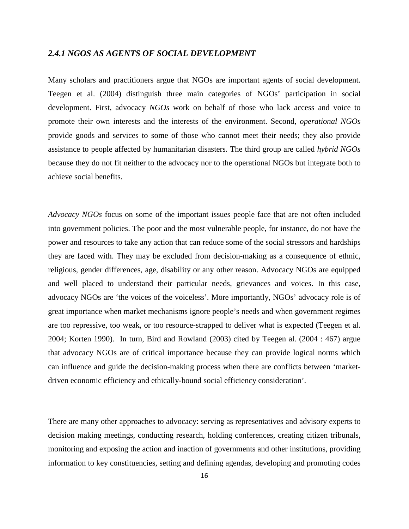#### *2.4.1 NGOS AS AGENTS OF SOCIAL DEVELOPMENT*

Many scholars and practitioners argue that NGOs are important agents of social development. Teegen et al. (2004) distinguish three main categories of NGOs' participation in social development. First, advocacy *NGOs* work on behalf of those who lack access and voice to promote their own interests and the interests of the environment. Second, *operational NGOs* provide goods and services to some of those who cannot meet their needs; they also provide assistance to people affected by humanitarian disasters. The third group are called *hybrid NGOs* because they do not fit neither to the advocacy nor to the operational NGOs but integrate both to achieve social benefits.

*Advocacy NGOs* focus on some of the important issues people face that are not often included into government policies. The poor and the most vulnerable people, for instance, do not have the power and resources to take any action that can reduce some of the social stressors and hardships they are faced with. They may be excluded from decision-making as a consequence of ethnic, religious, gender differences, age, disability or any other reason. Advocacy NGOs are equipped and well placed to understand their particular needs, grievances and voices. In this case, advocacy NGOs are 'the voices of the voiceless'. More importantly, NGOs' advocacy role is of great importance when market mechanisms ignore people's needs and when government regimes are too repressive, too weak, or too resource-strapped to deliver what is expected (Teegen et al. 2004; Korten 1990). In turn, Bird and Rowland (2003) cited by Teegen al. (2004 : 467) argue that advocacy NGOs are of critical importance because they can provide logical norms which can influence and guide the decision-making process when there are conflicts between 'marketdriven economic efficiency and ethically-bound social efficiency consideration'.

There are many other approaches to advocacy: serving as representatives and advisory experts to decision making meetings, conducting research, holding conferences, creating citizen tribunals, monitoring and exposing the action and inaction of governments and other institutions, providing information to key constituencies, setting and defining agendas, developing and promoting codes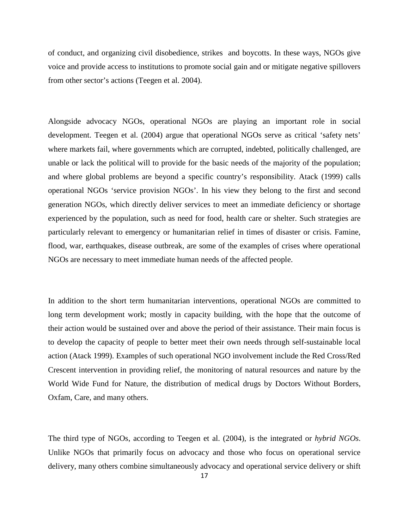of conduct, and organizing civil disobedience, strikes and boycotts. In these ways, NGOs give voice and provide access to institutions to promote social gain and or mitigate negative spillovers from other sector's actions (Teegen et al. 2004).

Alongside advocacy NGOs, operational NGOs are playing an important role in social development. Teegen et al. (2004) argue that operational NGOs serve as critical 'safety nets' where markets fail, where governments which are corrupted, indebted, politically challenged, are unable or lack the political will to provide for the basic needs of the majority of the population; and where global problems are beyond a specific country's responsibility. Atack (1999) calls operational NGOs 'service provision NGOs'. In his view they belong to the first and second generation NGOs, which directly deliver services to meet an immediate deficiency or shortage experienced by the population, such as need for food, health care or shelter. Such strategies are particularly relevant to emergency or humanitarian relief in times of disaster or crisis. Famine, flood, war, earthquakes, disease outbreak, are some of the examples of crises where operational NGOs are necessary to meet immediate human needs of the affected people.

In addition to the short term humanitarian interventions, operational NGOs are committed to long term development work; mostly in capacity building, with the hope that the outcome of their action would be sustained over and above the period of their assistance. Their main focus is to develop the capacity of people to better meet their own needs through self-sustainable local action (Atack 1999). Examples of such operational NGO involvement include the Red Cross/Red Crescent intervention in providing relief, the monitoring of natural resources and nature by the World Wide Fund for Nature, the distribution of medical drugs by Doctors Without Borders, Oxfam, Care, and many others.

The third type of NGOs, according to Teegen et al. (2004), is the integrated or *hybrid NGOs*. Unlike NGOs that primarily focus on advocacy and those who focus on operational service delivery, many others combine simultaneously advocacy and operational service delivery or shift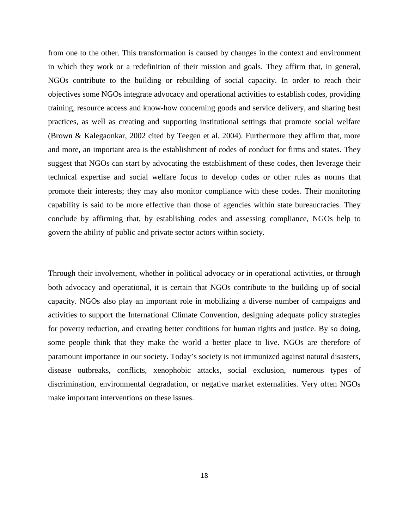from one to the other. This transformation is caused by changes in the context and environment in which they work or a redefinition of their mission and goals. They affirm that, in general, NGOs contribute to the building or rebuilding of social capacity. In order to reach their objectives some NGOs integrate advocacy and operational activities to establish codes, providing training, resource access and know-how concerning goods and service delivery, and sharing best practices, as well as creating and supporting institutional settings that promote social welfare (Brown & Kalegaonkar, 2002 cited by Teegen et al. 2004). Furthermore they affirm that, more and more, an important area is the establishment of codes of conduct for firms and states. They suggest that NGOs can start by advocating the establishment of these codes, then leverage their technical expertise and social welfare focus to develop codes or other rules as norms that promote their interests; they may also monitor compliance with these codes. Their monitoring capability is said to be more effective than those of agencies within state bureaucracies. They conclude by affirming that, by establishing codes and assessing compliance, NGOs help to govern the ability of public and private sector actors within society.

Through their involvement, whether in political advocacy or in operational activities, or through both advocacy and operational, it is certain that NGOs contribute to the building up of social capacity. NGOs also play an important role in mobilizing a diverse number of campaigns and activities to support the International Climate Convention, designing adequate policy strategies for poverty reduction, and creating better conditions for human rights and justice. By so doing, some people think that they make the world a better place to live. NGOs are therefore of paramount importance in our society. Today's society is not immunized against natural disasters, disease outbreaks, conflicts, xenophobic attacks, social exclusion, numerous types of discrimination, environmental degradation, or negative market externalities. Very often NGOs make important interventions on these issues.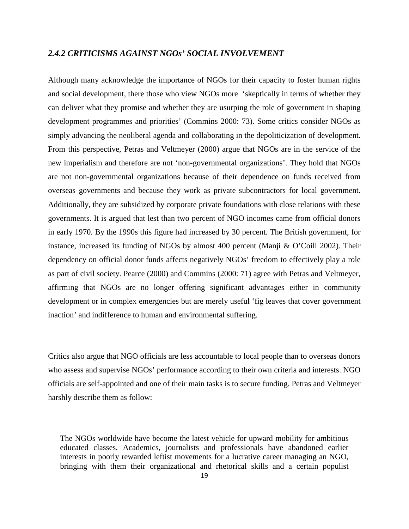#### *2.4.2 CRITICISMS AGAINST NGOs' SOCIAL INVOLVEMENT*

Although many acknowledge the importance of NGOs for their capacity to foster human rights and social development, there those who view NGOs more 'skeptically in terms of whether they can deliver what they promise and whether they are usurping the role of government in shaping development programmes and priorities' (Commins 2000: 73). Some critics consider NGOs as simply advancing the neoliberal agenda and collaborating in the depoliticization of development. From this perspective, Petras and Veltmeyer (2000) argue that NGOs are in the service of the new imperialism and therefore are not 'non-governmental organizations'. They hold that NGOs are not non-governmental organizations because of their dependence on funds received from overseas governments and because they work as private subcontractors for local government. Additionally, they are subsidized by corporate private foundations with close relations with these governments. It is argued that lest than two percent of NGO incomes came from official donors in early 1970. By the 1990s this figure had increased by 30 percent. The British government, for instance, increased its funding of NGOs by almost 400 percent (Manji & O'Coill 2002). Their dependency on official donor funds affects negatively NGOs' freedom to effectively play a role as part of civil society. Pearce (2000) and Commins (2000: 71) agree with Petras and Veltmeyer, affirming that NGOs are no longer offering significant advantages either in community development or in complex emergencies but are merely useful 'fig leaves that cover government inaction' and indifference to human and environmental suffering.

Critics also argue that NGO officials are less accountable to local people than to overseas donors who assess and supervise NGOs' performance according to their own criteria and interests. NGO officials are self-appointed and one of their main tasks is to secure funding. Petras and Veltmeyer harshly describe them as follow:

The NGOs worldwide have become the latest vehicle for upward mobility for ambitious educated classes. Academics, journalists and professionals have abandoned earlier interests in poorly rewarded leftist movements for a lucrative career managing an NGO, bringing with them their organizational and rhetorical skills and a certain populist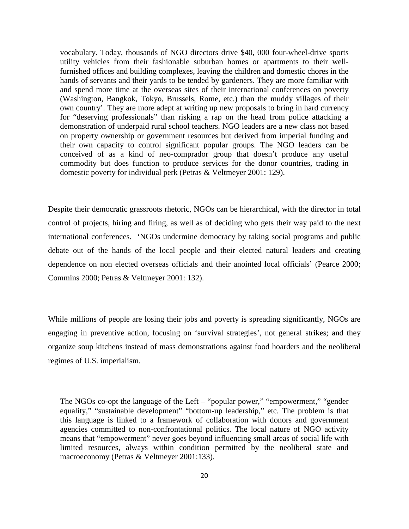vocabulary. Today, thousands of NGO directors drive \$40, 000 four-wheel-drive sports utility vehicles from their fashionable suburban homes or apartments to their wellfurnished offices and building complexes, leaving the children and domestic chores in the hands of servants and their yards to be tended by gardeners. They are more familiar with and spend more time at the overseas sites of their international conferences on poverty (Washington, Bangkok, Tokyo, Brussels, Rome, etc.) than the muddy villages of their own country'. They are more adept at writing up new proposals to bring in hard currency for "deserving professionals" than risking a rap on the head from police attacking a demonstration of underpaid rural school teachers. NGO leaders are a new class not based on property ownership or government resources but derived from imperial funding and their own capacity to control significant popular groups. The NGO leaders can be conceived of as a kind of neo-comprador group that doesn't produce any useful commodity but does function to produce services for the donor countries, trading in domestic poverty for individual perk (Petras & Veltmeyer 2001: 129).

Despite their democratic grassroots rhetoric, NGOs can be hierarchical, with the director in total control of projects, hiring and firing, as well as of deciding who gets their way paid to the next international conferences. 'NGOs undermine democracy by taking social programs and public debate out of the hands of the local people and their elected natural leaders and creating dependence on non elected overseas officials and their anointed local officials' (Pearce 2000; Commins 2000; Petras & Veltmeyer 2001: 132).

While millions of people are losing their jobs and poverty is spreading significantly, NGOs are engaging in preventive action, focusing on 'survival strategies', not general strikes; and they organize soup kitchens instead of mass demonstrations against food hoarders and the neoliberal regimes of U.S. imperialism.

The NGOs co-opt the language of the Left – "popular power," "empowerment," "gender equality," "sustainable development" "bottom-up leadership," etc. The problem is that this language is linked to a framework of collaboration with donors and government agencies committed to non-confrontational politics. The local nature of NGO activity means that "empowerment" never goes beyond influencing small areas of social life with limited resources, always within condition permitted by the neoliberal state and macroeconomy (Petras & Veltmeyer 2001:133).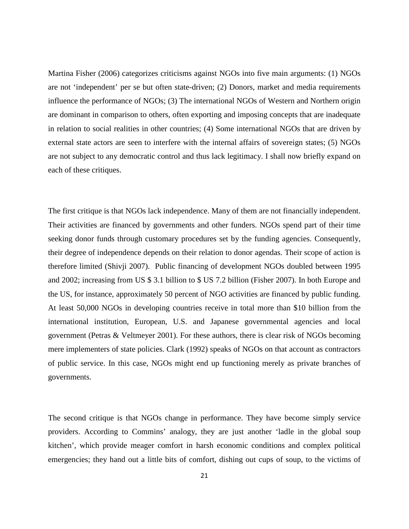Martina Fisher (2006) categorizes criticisms against NGOs into five main arguments: (1) NGOs are not 'independent' per se but often state-driven; (2) Donors, market and media requirements influence the performance of NGOs; (3) The international NGOs of Western and Northern origin are dominant in comparison to others, often exporting and imposing concepts that are inadequate in relation to social realities in other countries; (4) Some international NGOs that are driven by external state actors are seen to interfere with the internal affairs of sovereign states; (5) NGOs are not subject to any democratic control and thus lack legitimacy. I shall now briefly expand on each of these critiques.

The first critique is that NGOs lack independence. Many of them are not financially independent. Their activities are financed by governments and other funders. NGOs spend part of their time seeking donor funds through customary procedures set by the funding agencies. Consequently, their degree of independence depends on their relation to donor agendas. Their scope of action is therefore limited (Shivji 2007). Public financing of development NGOs doubled between 1995 and 2002; increasing from US \$ 3.1 billion to \$ US 7.2 billion (Fisher 2007). In both Europe and the US, for instance, approximately 50 percent of NGO activities are financed by public funding. At least 50,000 NGOs in developing countries receive in total more than \$10 billion from the international institution, European, U.S. and Japanese governmental agencies and local government (Petras & Veltmeyer 2001). For these authors, there is clear risk of NGOs becoming mere implementers of state policies. Clark (1992) speaks of NGOs on that account as contractors of public service. In this case, NGOs might end up functioning merely as private branches of governments.

The second critique is that NGOs change in performance. They have become simply service providers. According to Commins' analogy, they are just another 'ladle in the global soup kitchen', which provide meager comfort in harsh economic conditions and complex political emergencies; they hand out a little bits of comfort, dishing out cups of soup, to the victims of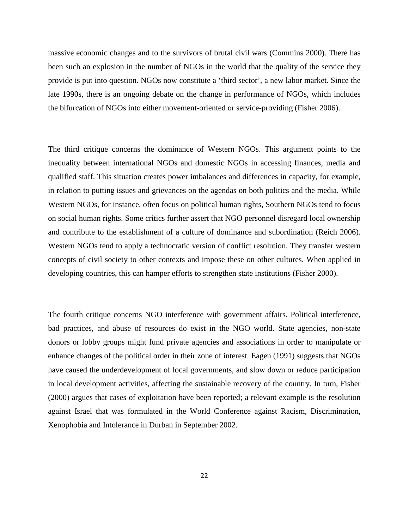massive economic changes and to the survivors of brutal civil wars (Commins 2000). There has been such an explosion in the number of NGOs in the world that the quality of the service they provide is put into question. NGOs now constitute a 'third sector', a new labor market. Since the late 1990s, there is an ongoing debate on the change in performance of NGOs, which includes the bifurcation of NGOs into either movement-oriented or service-providing (Fisher 2006).

The third critique concerns the dominance of Western NGOs. This argument points to the inequality between international NGOs and domestic NGOs in accessing finances, media and qualified staff. This situation creates power imbalances and differences in capacity, for example, in relation to putting issues and grievances on the agendas on both politics and the media. While Western NGOs, for instance, often focus on political human rights, Southern NGOs tend to focus on social human rights. Some critics further assert that NGO personnel disregard local ownership and contribute to the establishment of a culture of dominance and subordination (Reich 2006). Western NGOs tend to apply a technocratic version of conflict resolution. They transfer western concepts of civil society to other contexts and impose these on other cultures. When applied in developing countries, this can hamper efforts to strengthen state institutions (Fisher 2000).

The fourth critique concerns NGO interference with government affairs. Political interference, bad practices, and abuse of resources do exist in the NGO world. State agencies, non-state donors or lobby groups might fund private agencies and associations in order to manipulate or enhance changes of the political order in their zone of interest. Eagen (1991) suggests that NGOs have caused the underdevelopment of local governments, and slow down or reduce participation in local development activities, affecting the sustainable recovery of the country. In turn, Fisher (2000) argues that cases of exploitation have been reported; a relevant example is the resolution against Israel that was formulated in the World Conference against Racism, Discrimination, Xenophobia and Intolerance in Durban in September 2002.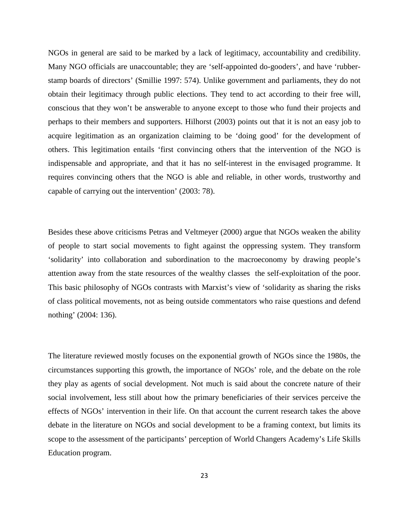NGOs in general are said to be marked by a lack of legitimacy, accountability and credibility. Many NGO officials are unaccountable; they are 'self-appointed do-gooders', and have 'rubberstamp boards of directors' (Smillie 1997: 574). Unlike government and parliaments, they do not obtain their legitimacy through public elections. They tend to act according to their free will, conscious that they won't be answerable to anyone except to those who fund their projects and perhaps to their members and supporters. Hilhorst (2003) points out that it is not an easy job to acquire legitimation as an organization claiming to be 'doing good' for the development of others. This legitimation entails 'first convincing others that the intervention of the NGO is indispensable and appropriate, and that it has no self-interest in the envisaged programme. It requires convincing others that the NGO is able and reliable, in other words, trustworthy and capable of carrying out the intervention' (2003: 78).

Besides these above criticisms Petras and Veltmeyer (2000) argue that NGOs weaken the ability of people to start social movements to fight against the oppressing system. They transform 'solidarity' into collaboration and subordination to the macroeconomy by drawing people's attention away from the state resources of the wealthy classes the self-exploitation of the poor. This basic philosophy of NGOs contrasts with Marxist's view of 'solidarity as sharing the risks of class political movements, not as being outside commentators who raise questions and defend nothing' (2004: 136).

The literature reviewed mostly focuses on the exponential growth of NGOs since the 1980s, the circumstances supporting this growth, the importance of NGOs' role, and the debate on the role they play as agents of social development. Not much is said about the concrete nature of their social involvement, less still about how the primary beneficiaries of their services perceive the effects of NGOs' intervention in their life. On that account the current research takes the above debate in the literature on NGOs and social development to be a framing context, but limits its scope to the assessment of the participants' perception of World Changers Academy's Life Skills Education program.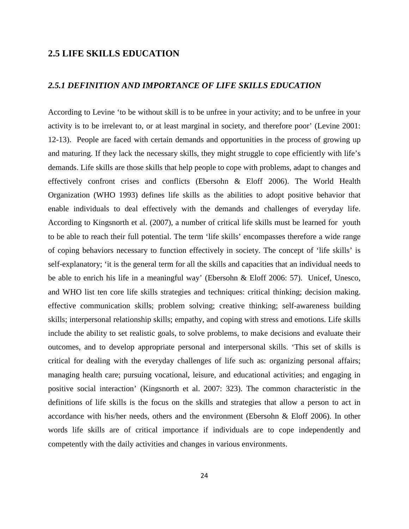#### **2.5 LIFE SKILLS EDUCATION**

#### *2.5.1 DEFINITION AND IMPORTANCE OF LIFE SKILLS EDUCATION*

According to Levine 'to be without skill is to be unfree in your activity; and to be unfree in your activity is to be irrelevant to, or at least marginal in society, and therefore poor' (Levine 2001: 12-13). People are faced with certain demands and opportunities in the process of growing up and maturing. If they lack the necessary skills, they might struggle to cope efficiently with life's demands. Life skills are those skills that help people to cope with problems, adapt to changes and effectively confront crises and conflicts (Ebersohn & Eloff 2006). The World Health Organization (WHO 1993) defines life skills as the abilities to adopt positive behavior that enable individuals to deal effectively with the demands and challenges of everyday life. According to Kingsnorth et al. (2007), a number of critical life skills must be learned for youth to be able to reach their full potential. The term 'life skills' encompasses therefore a wide range of coping behaviors necessary to function effectively in society. The concept of 'life skills' is self-explanatory; 'it is the general term for all the skills and capacities that an individual needs to be able to enrich his life in a meaningful way' (Ebersohn & Eloff 2006: 57). Unicef, Unesco, and WHO list ten core life skills strategies and techniques: critical thinking; decision making. effective communication skills; problem solving; creative thinking; self-awareness building skills; interpersonal relationship skills; empathy, and coping with stress and emotions. Life skills include the ability to set realistic goals, to solve problems, to make decisions and evaluate their outcomes, and to develop appropriate personal and interpersonal skills. 'This set of skills is critical for dealing with the everyday challenges of life such as: organizing personal affairs; managing health care; pursuing vocational, leisure, and educational activities; and engaging in positive social interaction' (Kingsnorth et al. 2007: 323). The common characteristic in the definitions of life skills is the focus on the skills and strategies that allow a person to act in accordance with his/her needs, others and the environment (Ebersohn & Eloff 2006). In other words life skills are of critical importance if individuals are to cope independently and competently with the daily activities and changes in various environments.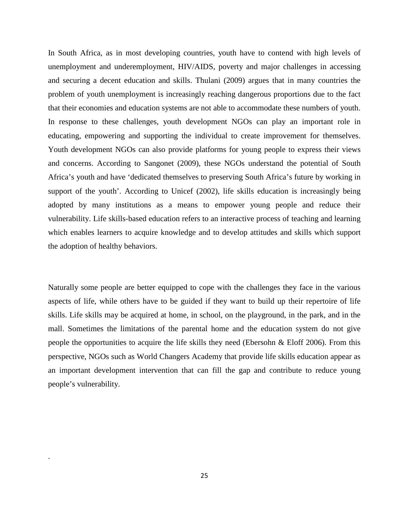In South Africa, as in most developing countries, youth have to contend with high levels of unemployment and underemployment, HIV/AIDS, poverty and major challenges in accessing and securing a decent education and skills. Thulani (2009) argues that in many countries the problem of youth unemployment is increasingly reaching dangerous proportions due to the fact that their economies and education systems are not able to accommodate these numbers of youth. In response to these challenges, youth development NGOs can play an important role in educating, empowering and supporting the individual to create improvement for themselves. Youth development NGOs can also provide platforms for young people to express their views and concerns. According to Sangonet (2009), these NGOs understand the potential of South Africa's youth and have 'dedicated themselves to preserving South Africa's future by working in support of the youth'. According to Unicef (2002), life skills education is increasingly being adopted by many institutions as a means to empower young people and reduce their vulnerability. Life skills-based education refers to an interactive process of teaching and learning which enables learners to acquire knowledge and to develop attitudes and skills which support the adoption of healthy behaviors.

Naturally some people are better equipped to cope with the challenges they face in the various aspects of life, while others have to be guided if they want to build up their repertoire of life skills. Life skills may be acquired at home, in school, on the playground, in the park, and in the mall. Sometimes the limitations of the parental home and the education system do not give people the opportunities to acquire the life skills they need (Ebersohn & Eloff 2006). From this perspective, NGOs such as World Changers Academy that provide life skills education appear as an important development intervention that can fill the gap and contribute to reduce young people's vulnerability.

.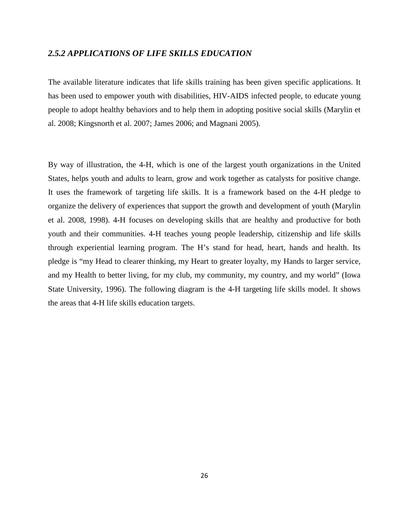#### *2.5.2 APPLICATIONS OF LIFE SKILLS EDUCATION*

The available literature indicates that life skills training has been given specific applications. It has been used to empower youth with disabilities, HIV-AIDS infected people, to educate young people to adopt healthy behaviors and to help them in adopting positive social skills (Marylin et al. 2008; Kingsnorth et al. 2007; James 2006; and Magnani 2005).

By way of illustration, the 4-H, which is one of the largest youth organizations in the United States, helps youth and adults to learn, grow and work together as catalysts for positive change. It uses the framework of targeting life skills. It is a framework based on the 4-H pledge to organize the delivery of experiences that support the growth and development of youth (Marylin et al. 2008, 1998). 4-H focuses on developing skills that are healthy and productive for both youth and their communities. 4-H teaches young people leadership, citizenship and life skills through experiential learning program. The H's stand for head, heart, hands and health. Its pledge is "my Head to clearer thinking, my Heart to greater loyalty, my Hands to larger service, and my Health to better living, for my club, my community, my country, and my world" (Iowa State University, 1996). The following diagram is the 4-H targeting life skills model. It shows the areas that 4-H life skills education targets.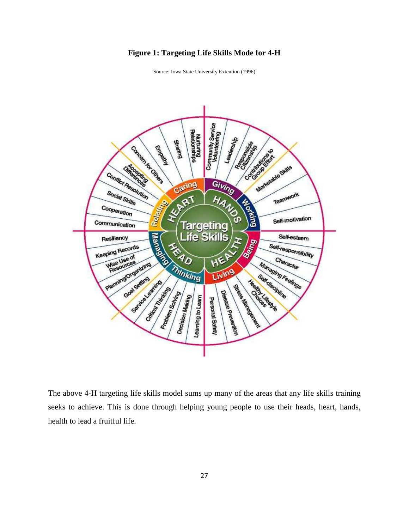#### **Figure 1: Targeting Life Skills Mode for 4-H**



Source: Iowa State University Extention (1996)

The above 4-H targeting life skills model sums up many of the areas that any life skills training seeks to achieve. This is done through helping young people to use their heads, heart, hands, health to lead a fruitful life.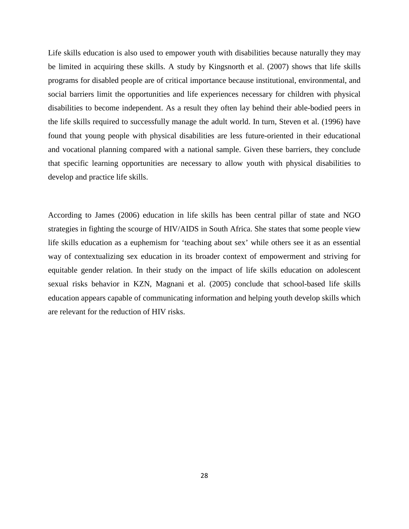Life skills education is also used to empower youth with disabilities because naturally they may be limited in acquiring these skills. A study by Kingsnorth et al. (2007) shows that life skills programs for disabled people are of critical importance because institutional, environmental, and social barriers limit the opportunities and life experiences necessary for children with physical disabilities to become independent. As a result they often lay behind their able-bodied peers in the life skills required to successfully manage the adult world. In turn, Steven et al. (1996) have found that young people with physical disabilities are less future-oriented in their educational and vocational planning compared with a national sample. Given these barriers, they conclude that specific learning opportunities are necessary to allow youth with physical disabilities to develop and practice life skills.

According to James (2006) education in life skills has been central pillar of state and NGO strategies in fighting the scourge of HIV/AIDS in South Africa. She states that some people view life skills education as a euphemism for 'teaching about sex' while others see it as an essential way of contextualizing sex education in its broader context of empowerment and striving for equitable gender relation. In their study on the impact of life skills education on adolescent sexual risks behavior in KZN, Magnani et al. (2005) conclude that school-based life skills education appears capable of communicating information and helping youth develop skills which are relevant for the reduction of HIV risks.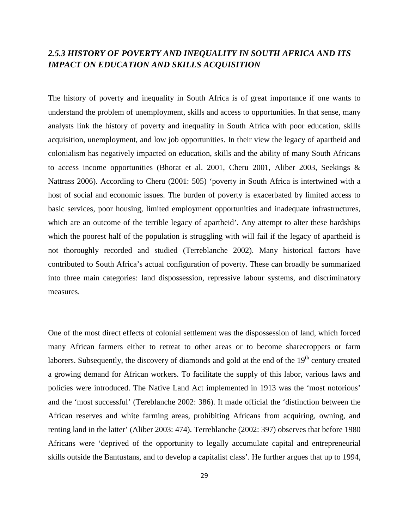## *2.5.3 HISTORY OF POVERTY AND INEQUALITY IN SOUTH AFRICA AND ITS IMPACT ON EDUCATION AND SKILLS ACQUISITION*

The history of poverty and inequality in South Africa is of great importance if one wants to understand the problem of unemployment, skills and access to opportunities. In that sense, many analysts link the history of poverty and inequality in South Africa with poor education, skills acquisition, unemployment, and low job opportunities. In their view the legacy of apartheid and colonialism has negatively impacted on education, skills and the ability of many South Africans to access income opportunities (Bhorat et al. 2001, Cheru 2001, Aliber 2003, Seekings & Nattrass 2006). According to Cheru (2001: 505) 'poverty in South Africa is intertwined with a host of social and economic issues. The burden of poverty is exacerbated by limited access to basic services, poor housing, limited employment opportunities and inadequate infrastructures, which are an outcome of the terrible legacy of apartheid'. Any attempt to alter these hardships which the poorest half of the population is struggling with will fail if the legacy of apartheid is not thoroughly recorded and studied (Terreblanche 2002). Many historical factors have contributed to South Africa's actual configuration of poverty. These can broadly be summarized into three main categories: land dispossession, repressive labour systems, and discriminatory measures.

One of the most direct effects of colonial settlement was the dispossession of land, which forced many African farmers either to retreat to other areas or to become sharecroppers or farm laborers. Subsequently, the discovery of diamonds and gold at the end of the  $19<sup>th</sup>$  century created a growing demand for African workers. To facilitate the supply of this labor, various laws and policies were introduced. The Native Land Act implemented in 1913 was the 'most notorious' and the 'most successful' (Tereblanche 2002: 386). It made official the 'distinction between the African reserves and white farming areas, prohibiting Africans from acquiring, owning, and renting land in the latter' (Aliber 2003: 474). Terreblanche (2002: 397) observes that before 1980 Africans were 'deprived of the opportunity to legally accumulate capital and entrepreneurial skills outside the Bantustans, and to develop a capitalist class'. He further argues that up to 1994,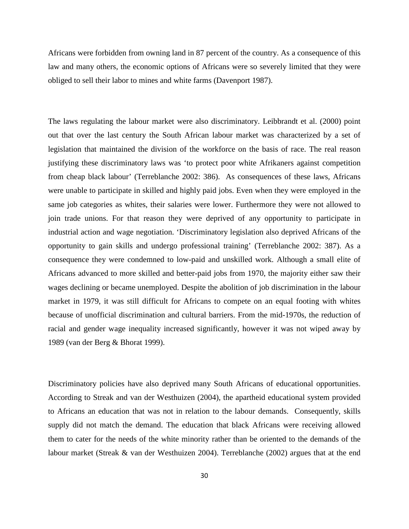Africans were forbidden from owning land in 87 percent of the country. As a consequence of this law and many others, the economic options of Africans were so severely limited that they were obliged to sell their labor to mines and white farms (Davenport 1987).

The laws regulating the labour market were also discriminatory. Leibbrandt et al. (2000) point out that over the last century the South African labour market was characterized by a set of legislation that maintained the division of the workforce on the basis of race. The real reason justifying these discriminatory laws was 'to protect poor white Afrikaners against competition from cheap black labour' (Terreblanche 2002: 386). As consequences of these laws, Africans were unable to participate in skilled and highly paid jobs. Even when they were employed in the same job categories as whites, their salaries were lower. Furthermore they were not allowed to join trade unions. For that reason they were deprived of any opportunity to participate in industrial action and wage negotiation. 'Discriminatory legislation also deprived Africans of the opportunity to gain skills and undergo professional training' (Terreblanche 2002: 387). As a consequence they were condemned to low-paid and unskilled work. Although a small elite of Africans advanced to more skilled and better-paid jobs from 1970, the majority either saw their wages declining or became unemployed. Despite the abolition of job discrimination in the labour market in 1979, it was still difficult for Africans to compete on an equal footing with whites because of unofficial discrimination and cultural barriers. From the mid-1970s, the reduction of racial and gender wage inequality increased significantly, however it was not wiped away by 1989 (van der Berg & Bhorat 1999).

Discriminatory policies have also deprived many South Africans of educational opportunities. According to Streak and van der Westhuizen (2004), the apartheid educational system provided to Africans an education that was not in relation to the labour demands. Consequently, skills supply did not match the demand. The education that black Africans were receiving allowed them to cater for the needs of the white minority rather than be oriented to the demands of the labour market (Streak & van der Westhuizen 2004). Terreblanche (2002) argues that at the end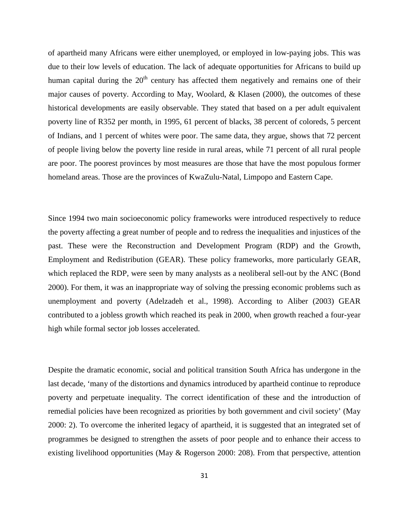of apartheid many Africans were either unemployed, or employed in low-paying jobs. This was due to their low levels of education. The lack of adequate opportunities for Africans to build up human capital during the  $20<sup>th</sup>$  century has affected them negatively and remains one of their major causes of poverty. According to May, Woolard, & Klasen (2000), the outcomes of these historical developments are easily observable. They stated that based on a per adult equivalent poverty line of R352 per month, in 1995, 61 percent of blacks, 38 percent of coloreds, 5 percent of Indians, and 1 percent of whites were poor. The same data, they argue, shows that 72 percent of people living below the poverty line reside in rural areas, while 71 percent of all rural people are poor. The poorest provinces by most measures are those that have the most populous former homeland areas. Those are the provinces of KwaZulu-Natal, Limpopo and Eastern Cape.

Since 1994 two main socioeconomic policy frameworks were introduced respectively to reduce the poverty affecting a great number of people and to redress the inequalities and injustices of the past. These were the Reconstruction and Development Program (RDP) and the Growth, Employment and Redistribution (GEAR). These policy frameworks, more particularly GEAR, which replaced the RDP, were seen by many analysts as a neoliberal sell-out by the ANC (Bond 2000). For them, it was an inappropriate way of solving the pressing economic problems such as unemployment and poverty (Adelzadeh et al., 1998). According to Aliber (2003) GEAR contributed to a jobless growth which reached its peak in 2000, when growth reached a four-year high while formal sector job losses accelerated.

Despite the dramatic economic, social and political transition South Africa has undergone in the last decade, 'many of the distortions and dynamics introduced by apartheid continue to reproduce poverty and perpetuate inequality. The correct identification of these and the introduction of remedial policies have been recognized as priorities by both government and civil society' (May 2000: 2). To overcome the inherited legacy of apartheid, it is suggested that an integrated set of programmes be designed to strengthen the assets of poor people and to enhance their access to existing livelihood opportunities (May  $\&$  Rogerson 2000: 208). From that perspective, attention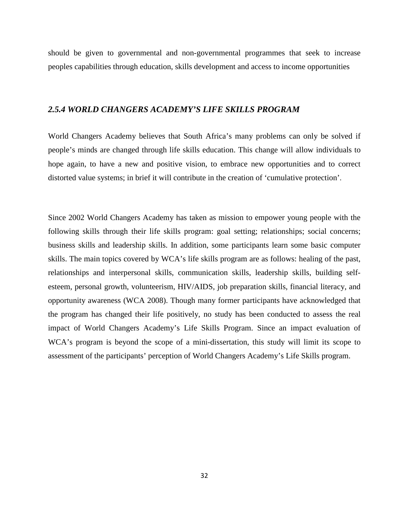should be given to governmental and non-governmental programmes that seek to increase peoples capabilities through education, skills development and access to income opportunities

#### *2.5.4 WORLD CHANGERS ACADEMY'S LIFE SKILLS PROGRAM*

World Changers Academy believes that South Africa's many problems can only be solved if people's minds are changed through life skills education. This change will allow individuals to hope again, to have a new and positive vision, to embrace new opportunities and to correct distorted value systems; in brief it will contribute in the creation of 'cumulative protection'.

Since 2002 World Changers Academy has taken as mission to empower young people with the following skills through their life skills program: goal setting; relationships; social concerns; business skills and leadership skills. In addition, some participants learn some basic computer skills. The main topics covered by WCA's life skills program are as follows: healing of the past, relationships and interpersonal skills, communication skills, leadership skills, building selfesteem, personal growth, volunteerism, HIV/AIDS, job preparation skills, financial literacy, and opportunity awareness (WCA 2008). Though many former participants have acknowledged that the program has changed their life positively, no study has been conducted to assess the real impact of World Changers Academy's Life Skills Program. Since an impact evaluation of WCA's program is beyond the scope of a mini-dissertation, this study will limit its scope to assessment of the participants' perception of World Changers Academy's Life Skills program.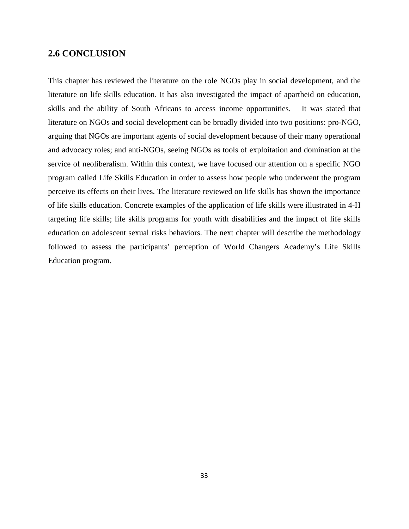### **2.6 CONCLUSION**

This chapter has reviewed the literature on the role NGOs play in social development, and the literature on life skills education. It has also investigated the impact of apartheid on education, skills and the ability of South Africans to access income opportunities. It was stated that literature on NGOs and social development can be broadly divided into two positions: pro-NGO, arguing that NGOs are important agents of social development because of their many operational and advocacy roles; and anti-NGOs, seeing NGOs as tools of exploitation and domination at the service of neoliberalism. Within this context, we have focused our attention on a specific NGO program called Life Skills Education in order to assess how people who underwent the program perceive its effects on their lives. The literature reviewed on life skills has shown the importance of life skills education. Concrete examples of the application of life skills were illustrated in 4-H targeting life skills; life skills programs for youth with disabilities and the impact of life skills education on adolescent sexual risks behaviors. The next chapter will describe the methodology followed to assess the participants' perception of World Changers Academy's Life Skills Education program.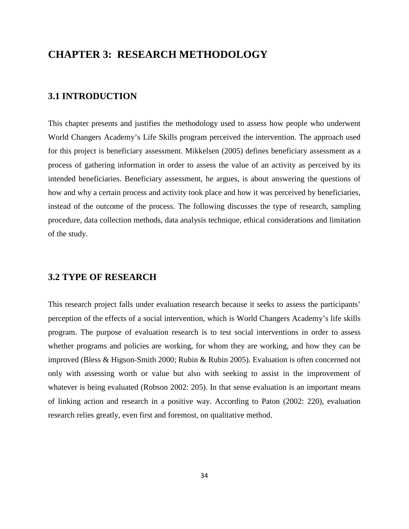## **CHAPTER 3: RESEARCH METHODOLOGY**

#### **3.1 INTRODUCTION**

This chapter presents and justifies the methodology used to assess how people who underwent World Changers Academy's Life Skills program perceived the intervention. The approach used for this project is beneficiary assessment. Mikkelsen (2005) defines beneficiary assessment as a process of gathering information in order to assess the value of an activity as perceived by its intended beneficiaries. Beneficiary assessment, he argues, is about answering the questions of how and why a certain process and activity took place and how it was perceived by beneficiaries, instead of the outcome of the process. The following discusses the type of research, sampling procedure, data collection methods, data analysis technique, ethical considerations and limitation of the study.

#### **3.2 TYPE OF RESEARCH**

This research project falls under evaluation research because it seeks to assess the participants' perception of the effects of a social intervention, which is World Changers Academy's life skills program. The purpose of evaluation research is to test social interventions in order to assess whether programs and policies are working, for whom they are working, and how they can be improved (Bless & Higson-Smith 2000; Rubin & Rubin 2005). Evaluation is often concerned not only with assessing worth or value but also with seeking to assist in the improvement of whatever is being evaluated (Robson 2002: 205). In that sense evaluation is an important means of linking action and research in a positive way. According to Paton (2002: 220), evaluation research relies greatly, even first and foremost, on qualitative method.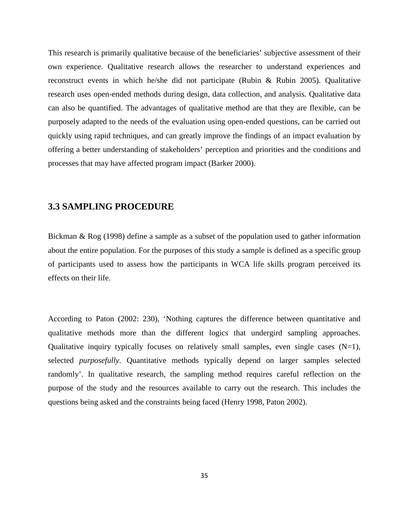This research is primarily qualitative because of the beneficiaries' subjective assessment of their own experience. Qualitative research allows the researcher to understand experiences and reconstruct events in which he/she did not participate (Rubin & Rubin 2005). Qualitative research uses open-ended methods during design, data collection, and analysis. Qualitative data can also be quantified. The advantages of qualitative method are that they are flexible, can be purposely adapted to the needs of the evaluation using open-ended questions, can be carried out quickly using rapid techniques, and can greatly improve the findings of an impact evaluation by offering a better understanding of stakeholders' perception and priorities and the conditions and processes that may have affected program impact (Barker 2000).

### **3.3 SAMPLING PROCEDURE**

Bickman & Rog (1998) define a sample as a subset of the population used to gather information about the entire population. For the purposes of this study a sample is defined as a specific group of participants used to assess how the participants in WCA life skills program perceived its effects on their life.

According to Paton (2002: 230), 'Nothing captures the difference between quantitative and qualitative methods more than the different logics that undergird sampling approaches. Qualitative inquiry typically focuses on relatively small samples, even single cases  $(N=1)$ , selected *purposefully*. Quantitative methods typically depend on larger samples selected randomly'. In qualitative research, the sampling method requires careful reflection on the purpose of the study and the resources available to carry out the research. This includes the questions being asked and the constraints being faced (Henry 1998, Paton 2002).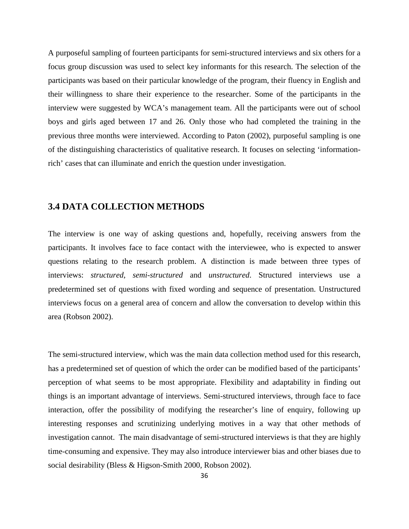A purposeful sampling of fourteen participants for semi-structured interviews and six others for a focus group discussion was used to select key informants for this research. The selection of the participants was based on their particular knowledge of the program, their fluency in English and their willingness to share their experience to the researcher. Some of the participants in the interview were suggested by WCA's management team. All the participants were out of school boys and girls aged between 17 and 26. Only those who had completed the training in the previous three months were interviewed. According to Paton (2002), purposeful sampling is one of the distinguishing characteristics of qualitative research. It focuses on selecting 'informationrich' cases that can illuminate and enrich the question under investigation.

#### **3.4 DATA COLLECTION METHODS**

The interview is one way of asking questions and, hopefully, receiving answers from the participants. It involves face to face contact with the interviewee, who is expected to answer questions relating to the research problem. A distinction is made between three types of interviews: *structured*, *semi-structured* and *unstructured*. Structured interviews use a predetermined set of questions with fixed wording and sequence of presentation. Unstructured interviews focus on a general area of concern and allow the conversation to develop within this area (Robson 2002).

The semi-structured interview, which was the main data collection method used for this research, has a predetermined set of question of which the order can be modified based of the participants' perception of what seems to be most appropriate. Flexibility and adaptability in finding out things is an important advantage of interviews. Semi-structured interviews, through face to face interaction, offer the possibility of modifying the researcher's line of enquiry, following up interesting responses and scrutinizing underlying motives in a way that other methods of investigation cannot. The main disadvantage of semi-structured interviews is that they are highly time-consuming and expensive. They may also introduce interviewer bias and other biases due to social desirability (Bless & Higson-Smith 2000, Robson 2002).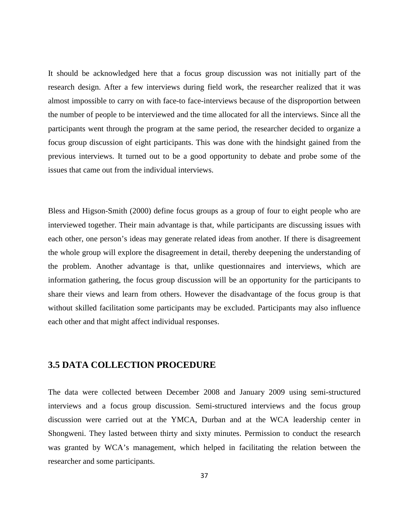It should be acknowledged here that a focus group discussion was not initially part of the research design. After a few interviews during field work, the researcher realized that it was almost impossible to carry on with face-to face-interviews because of the disproportion between the number of people to be interviewed and the time allocated for all the interviews. Since all the participants went through the program at the same period, the researcher decided to organize a focus group discussion of eight participants. This was done with the hindsight gained from the previous interviews. It turned out to be a good opportunity to debate and probe some of the issues that came out from the individual interviews.

Bless and Higson-Smith (2000) define focus groups as a group of four to eight people who are interviewed together. Their main advantage is that, while participants are discussing issues with each other, one person's ideas may generate related ideas from another. If there is disagreement the whole group will explore the disagreement in detail, thereby deepening the understanding of the problem. Another advantage is that, unlike questionnaires and interviews, which are information gathering, the focus group discussion will be an opportunity for the participants to share their views and learn from others. However the disadvantage of the focus group is that without skilled facilitation some participants may be excluded. Participants may also influence each other and that might affect individual responses.

#### **3.5 DATA COLLECTION PROCEDURE**

The data were collected between December 2008 and January 2009 using semi-structured interviews and a focus group discussion. Semi-structured interviews and the focus group discussion were carried out at the YMCA, Durban and at the WCA leadership center in Shongweni. They lasted between thirty and sixty minutes. Permission to conduct the research was granted by WCA's management, which helped in facilitating the relation between the researcher and some participants.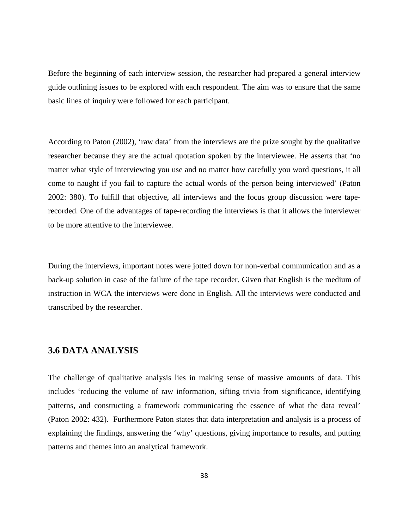Before the beginning of each interview session, the researcher had prepared a general interview guide outlining issues to be explored with each respondent. The aim was to ensure that the same basic lines of inquiry were followed for each participant.

According to Paton (2002), 'raw data' from the interviews are the prize sought by the qualitative researcher because they are the actual quotation spoken by the interviewee. He asserts that 'no matter what style of interviewing you use and no matter how carefully you word questions, it all come to naught if you fail to capture the actual words of the person being interviewed' (Paton 2002: 380). To fulfill that objective, all interviews and the focus group discussion were taperecorded. One of the advantages of tape-recording the interviews is that it allows the interviewer to be more attentive to the interviewee.

During the interviews, important notes were jotted down for non-verbal communication and as a back-up solution in case of the failure of the tape recorder. Given that English is the medium of instruction in WCA the interviews were done in English. All the interviews were conducted and transcribed by the researcher.

### **3.6 DATA ANALYSIS**

The challenge of qualitative analysis lies in making sense of massive amounts of data. This includes 'reducing the volume of raw information, sifting trivia from significance, identifying patterns, and constructing a framework communicating the essence of what the data reveal' (Paton 2002: 432). Furthermore Paton states that data interpretation and analysis is a process of explaining the findings, answering the 'why' questions, giving importance to results, and putting patterns and themes into an analytical framework.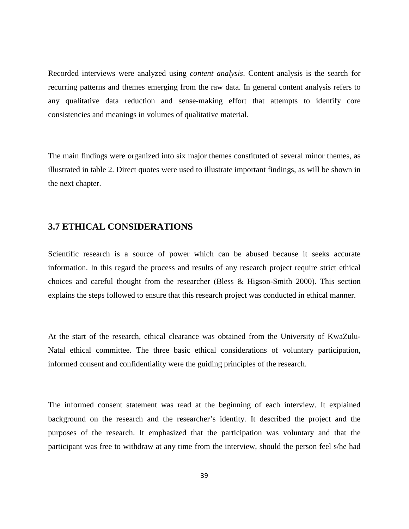Recorded interviews were analyzed using *content analysis*. Content analysis is the search for recurring patterns and themes emerging from the raw data. In general content analysis refers to any qualitative data reduction and sense-making effort that attempts to identify core consistencies and meanings in volumes of qualitative material.

The main findings were organized into six major themes constituted of several minor themes, as illustrated in table 2. Direct quotes were used to illustrate important findings, as will be shown in the next chapter.

## **3.7 ETHICAL CONSIDERATIONS**

Scientific research is a source of power which can be abused because it seeks accurate information. In this regard the process and results of any research project require strict ethical choices and careful thought from the researcher (Bless & Higson-Smith 2000). This section explains the steps followed to ensure that this research project was conducted in ethical manner.

At the start of the research, ethical clearance was obtained from the University of KwaZulu-Natal ethical committee. The three basic ethical considerations of voluntary participation, informed consent and confidentiality were the guiding principles of the research.

The informed consent statement was read at the beginning of each interview. It explained background on the research and the researcher's identity. It described the project and the purposes of the research. It emphasized that the participation was voluntary and that the participant was free to withdraw at any time from the interview, should the person feel s/he had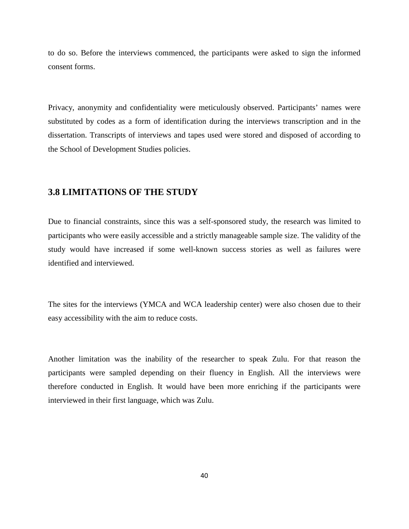to do so. Before the interviews commenced, the participants were asked to sign the informed consent forms.

Privacy, anonymity and confidentiality were meticulously observed. Participants' names were substituted by codes as a form of identification during the interviews transcription and in the dissertation. Transcripts of interviews and tapes used were stored and disposed of according to the School of Development Studies policies.

### **3.8 LIMITATIONS OF THE STUDY**

Due to financial constraints, since this was a self-sponsored study, the research was limited to participants who were easily accessible and a strictly manageable sample size. The validity of the study would have increased if some well-known success stories as well as failures were identified and interviewed.

The sites for the interviews (YMCA and WCA leadership center) were also chosen due to their easy accessibility with the aim to reduce costs.

Another limitation was the inability of the researcher to speak Zulu. For that reason the participants were sampled depending on their fluency in English. All the interviews were therefore conducted in English. It would have been more enriching if the participants were interviewed in their first language, which was Zulu.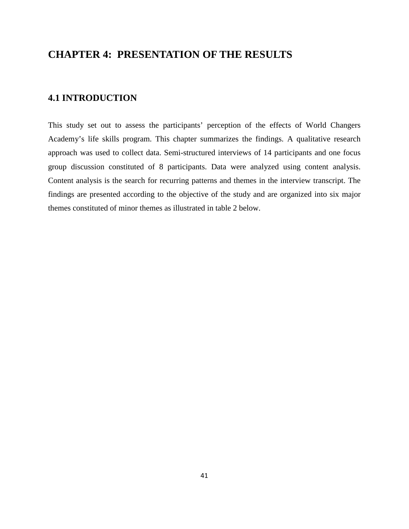# **CHAPTER 4: PRESENTATION OF THE RESULTS**

### **4.1 INTRODUCTION**

This study set out to assess the participants' perception of the effects of World Changers Academy's life skills program. This chapter summarizes the findings. A qualitative research approach was used to collect data. Semi-structured interviews of 14 participants and one focus group discussion constituted of 8 participants. Data were analyzed using content analysis. Content analysis is the search for recurring patterns and themes in the interview transcript. The findings are presented according to the objective of the study and are organized into six major themes constituted of minor themes as illustrated in table 2 below.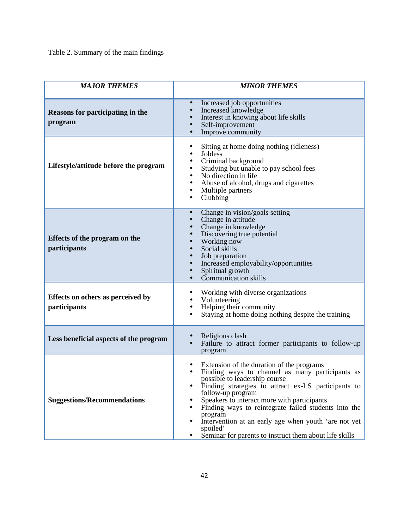Table 2. Summary of the main findings

| <b>MAJOR THEMES</b>                               | <b>MINOR THEMES</b>                                                                                                                                                                                                                                                                                                                                                                                                                                                    |
|---------------------------------------------------|------------------------------------------------------------------------------------------------------------------------------------------------------------------------------------------------------------------------------------------------------------------------------------------------------------------------------------------------------------------------------------------------------------------------------------------------------------------------|
| Reasons for participating in the<br>program       | Increased job opportunities<br>$\bullet$<br>Increased knowledge<br>Interest in knowing about life skills<br>Self-improvement<br>Improve community                                                                                                                                                                                                                                                                                                                      |
| Lifestyle/attitude before the program             | Sitting at home doing nothing (idleness)<br>Jobless<br>Criminal background<br>Studying but unable to pay school fees<br>No direction in life<br>Abuse of alcohol, drugs and cigarettes<br>Multiple partners<br>Clubbing                                                                                                                                                                                                                                                |
| Effects of the program on the<br>participants     | Change in vision/goals setting<br>Change in attitude<br>Change in knowledge<br>Discovering true potential<br>Working now<br>Social skills<br>Job preparation<br>Increased employability/opportunities<br>Spiritual growth<br>Communication skills                                                                                                                                                                                                                      |
| Effects on others as perceived by<br>participants | Working with diverse organizations<br>Volunteering<br>Helping their community<br>Staying at home doing nothing despite the training                                                                                                                                                                                                                                                                                                                                    |
| Less beneficial aspects of the program            | Religious clash<br>Failure to attract former participants to follow-up<br>program                                                                                                                                                                                                                                                                                                                                                                                      |
| <b>Suggestions/Recommendations</b>                | Extension of the duration of the programs<br>Finding ways to channel as many participants as<br>$\bullet$<br>possible to leadership course<br>Finding strategies to attract ex-LS participants to<br>follow-up program<br>Speakers to interact more with participants<br>Finding ways to reintegrate failed students into the<br>program<br>Intervention at an early age when youth 'are not yet<br>spoiled'<br>Seminar for parents to instruct them about life skills |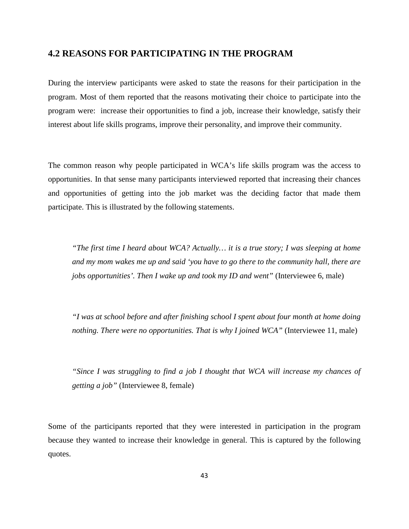#### **4.2 REASONS FOR PARTICIPATING IN THE PROGRAM**

During the interview participants were asked to state the reasons for their participation in the program. Most of them reported that the reasons motivating their choice to participate into the program were: increase their opportunities to find a job, increase their knowledge, satisfy their interest about life skills programs, improve their personality, and improve their community.

The common reason why people participated in WCA's life skills program was the access to opportunities. In that sense many participants interviewed reported that increasing their chances and opportunities of getting into the job market was the deciding factor that made them participate. This is illustrated by the following statements.

*"The first time I heard about WCA? Actually… it is a true story; I was sleeping at home and my mom wakes me up and said 'you have to go there to the community hall, there are jobs opportunities'. Then I wake up and took my ID and went"* (Interviewee 6, male)

*"I was at school before and after finishing school I spent about four month at home doing nothing. There were no opportunities. That is why I joined WCA"* (Interviewee 11, male)

*"Since I was struggling to find a job I thought that WCA will increase my chances of getting a job"* (Interviewee 8, female)

Some of the participants reported that they were interested in participation in the program because they wanted to increase their knowledge in general. This is captured by the following quotes.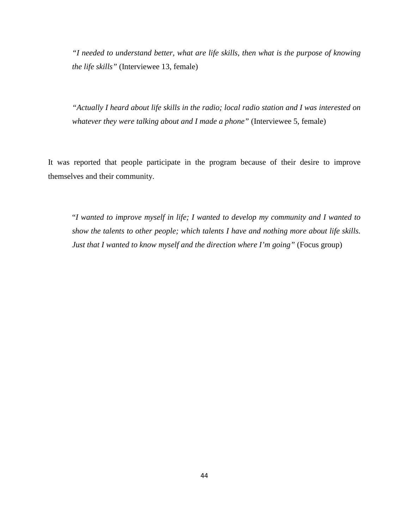*"I needed to understand better, what are life skills, then what is the purpose of knowing the life skills"* (Interviewee 13, female)

*"Actually I heard about life skills in the radio; local radio station and I was interested on whatever they were talking about and I made a phone"* (Interviewee 5, female)

It was reported that people participate in the program because of their desire to improve themselves and their community.

"*I wanted to improve myself in life; I wanted to develop my community and I wanted to show the talents to other people; which talents I have and nothing more about life skills. Just that I wanted to know myself and the direction where I'm going"* (Focus group)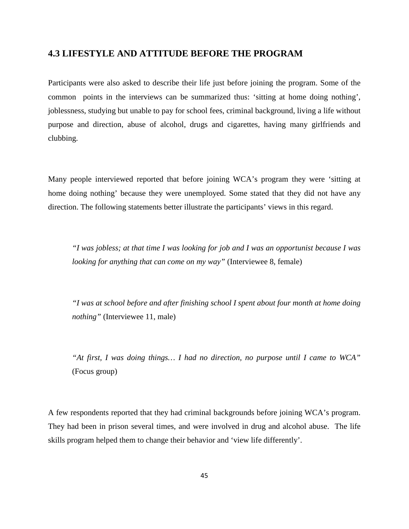#### **4.3 LIFESTYLE AND ATTITUDE BEFORE THE PROGRAM**

Participants were also asked to describe their life just before joining the program. Some of the common points in the interviews can be summarized thus: 'sitting at home doing nothing', joblessness, studying but unable to pay for school fees, criminal background, living a life without purpose and direction, abuse of alcohol, drugs and cigarettes, having many girlfriends and clubbing.

Many people interviewed reported that before joining WCA's program they were 'sitting at home doing nothing' because they were unemployed. Some stated that they did not have any direction. The following statements better illustrate the participants' views in this regard.

*"I was jobless; at that time I was looking for job and I was an opportunist because I was looking for anything that can come on my way"* (Interviewee 8, female)

*"I was at school before and after finishing school I spent about four month at home doing nothing"* (Interviewee 11, male)

*"At first, I was doing things… I had no direction, no purpose until I came to WCA"* (Focus group)

A few respondents reported that they had criminal backgrounds before joining WCA's program. They had been in prison several times, and were involved in drug and alcohol abuse. The life skills program helped them to change their behavior and 'view life differently'.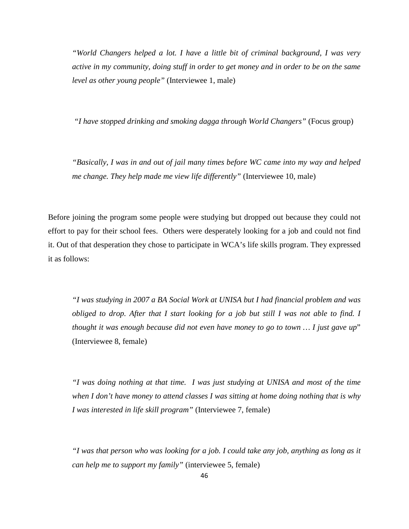*"World Changers helped a lot. I have a little bit of criminal background, I was very active in my community, doing stuff in order to get money and in order to be on the same level as other young people"* (Interviewee 1, male)

*"I have stopped drinking and smoking dagga through World Changers"* (Focus group)

*"Basically, I was in and out of jail many times before WC came into my way and helped me change. They help made me view life differently"* (Interviewee 10, male)

Before joining the program some people were studying but dropped out because they could not effort to pay for their school fees. Others were desperately looking for a job and could not find it. Out of that desperation they chose to participate in WCA's life skills program. They expressed it as follows:

*"I was studying in 2007 a BA Social Work at UNISA but I had financial problem and was obliged to drop. After that I start looking for a job but still I was not able to find. I thought it was enough because did not even have money to go to town … I just gave up*" (Interviewee 8, female)

*"I was doing nothing at that time. I was just studying at UNISA and most of the time when I don't have money to attend classes I was sitting at home doing nothing that is why I was interested in life skill program"* (Interviewee 7, female)

*"I was that person who was looking for a job. I could take any job, anything as long as it can help me to support my family"* (interviewee 5, female)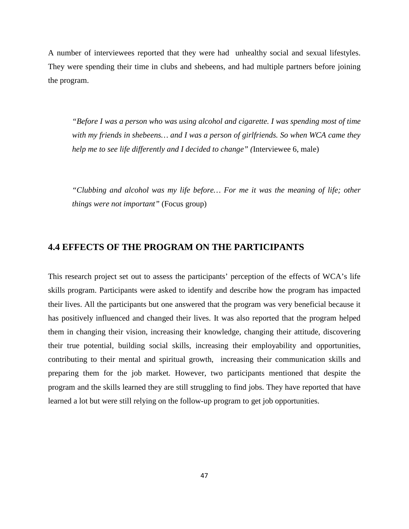A number of interviewees reported that they were had unhealthy social and sexual lifestyles. They were spending their time in clubs and shebeens, and had multiple partners before joining the program.

*"Before I was a person who was using alcohol and cigarette. I was spending most of time with my friends in shebeens… and I was a person of girlfriends. So when WCA came they help me to see life differently and I decided to change" (*Interviewee 6, male)

*"Clubbing and alcohol was my life before… For me it was the meaning of life; other things were not important"* (Focus group)

## **4.4 EFFECTS OF THE PROGRAM ON THE PARTICIPANTS**

This research project set out to assess the participants' perception of the effects of WCA's life skills program. Participants were asked to identify and describe how the program has impacted their lives. All the participants but one answered that the program was very beneficial because it has positively influenced and changed their lives. It was also reported that the program helped them in changing their vision, increasing their knowledge, changing their attitude, discovering their true potential, building social skills, increasing their employability and opportunities, contributing to their mental and spiritual growth, increasing their communication skills and preparing them for the job market. However, two participants mentioned that despite the program and the skills learned they are still struggling to find jobs. They have reported that have learned a lot but were still relying on the follow-up program to get job opportunities.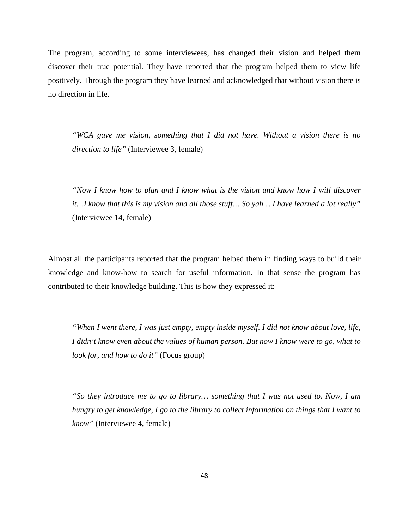The program, according to some interviewees, has changed their vision and helped them discover their true potential. They have reported that the program helped them to view life positively. Through the program they have learned and acknowledged that without vision there is no direction in life.

*"WCA gave me vision, something that I did not have. Without a vision there is no direction to life"* (Interviewee 3, female)

*"Now I know how to plan and I know what is the vision and know how I will discover it…I know that this is my vision and all those stuff… So yah… I have learned a lot really"* (Interviewee 14, female)

Almost all the participants reported that the program helped them in finding ways to build their knowledge and know-how to search for useful information. In that sense the program has contributed to their knowledge building. This is how they expressed it:

*"When I went there, I was just empty, empty inside myself. I did not know about love, life, I didn't know even about the values of human person. But now I know were to go, what to look for, and how to do it"* (Focus group)

*"So they introduce me to go to library… something that I was not used to. Now, I am hungry to get knowledge, I go to the library to collect information on things that I want to know"* (Interviewee 4, female)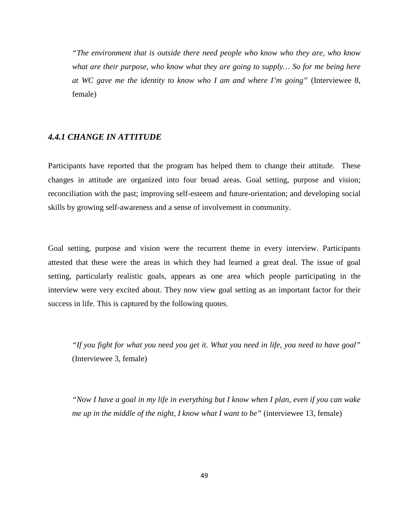*"The environment that is outside there need people who know who they are, who know what are their purpose, who know what they are going to supply… So for me being here at WC gave me the identity to know who I am and where I'm going"* (Interviewee 8, female)

#### *4.4.1 CHANGE IN ATTITUDE*

Participants have reported that the program has helped them to change their attitude. These changes in attitude are organized into four broad areas. Goal setting, purpose and vision; reconciliation with the past; improving self-esteem and future-orientation; and developing social skills by growing self-awareness and a sense of involvement in community.

Goal setting, purpose and vision were the recurrent theme in every interview. Participants attested that these were the areas in which they had learned a great deal. The issue of goal setting, particularly realistic goals, appears as one area which people participating in the interview were very excited about. They now view goal setting as an important factor for their success in life. This is captured by the following quotes.

*"If you fight for what you need you get it. What you need in life, you need to have goal"* (Interviewee 3, female)

*"Now I have a goal in my life in everything but I know when I plan, even if you can wake me up in the middle of the night, I know what I want to be"* (interviewee 13, female)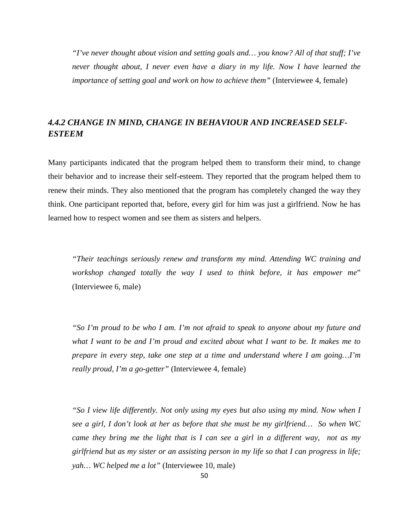*"I've never thought about vision and setting goals and… you know? All of that stuff; I've never thought about, I never even have a diary in my life. Now I have learned the importance of setting goal and work on how to achieve them"* (Interviewee 4, female)

## *4.4.2 CHANGE IN MIND, CHANGE IN BEHAVIOUR AND INCREASED SELF-ESTEEM*

Many participants indicated that the program helped them to transform their mind, to change their behavior and to increase their self-esteem. They reported that the program helped them to renew their minds. They also mentioned that the program has completely changed the way they think. One participant reported that, before, every girl for him was just a girlfriend. Now he has learned how to respect women and see them as sisters and helpers.

*"Their teachings seriously renew and transform my mind. Attending WC training and workshop changed totally the way I used to think before, it has empower me*" (Interviewee 6, male)

*"So I'm proud to be who I am. I'm not afraid to speak to anyone about my future and what I want to be and I'm proud and excited about what I want to be. It makes me to prepare in every step, take one step at a time and understand where I am going…I'm really proud, I'm a go-getter"* (Interviewee 4, female)

*"So I view life differently. Not only using my eyes but also using my mind. Now when I see a girl, I don't look at her as before that she must be my girlfriend… So when WC came they bring me the light that is I can see a girl in a different way, not as my girlfriend but as my sister or an assisting person in my life so that I can progress in life; yah… WC helped me a lot"* (Interviewee 10, male)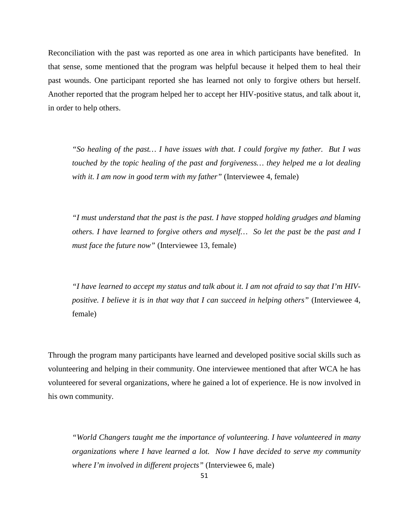Reconciliation with the past was reported as one area in which participants have benefited. In that sense, some mentioned that the program was helpful because it helped them to heal their past wounds. One participant reported she has learned not only to forgive others but herself. Another reported that the program helped her to accept her HIV-positive status, and talk about it, in order to help others.

*"So healing of the past… I have issues with that. I could forgive my father. But I was touched by the topic healing of the past and forgiveness… they helped me a lot dealing with it. I am now in good term with my father"* (Interviewee 4, female)

*"I must understand that the past is the past. I have stopped holding grudges and blaming others. I have learned to forgive others and myself… So let the past be the past and I must face the future now"* (Interviewee 13, female)

*"I have learned to accept my status and talk about it. I am not afraid to say that I'm HIVpositive. I believe it is in that way that I can succeed in helping others"* (Interviewee 4, female)

Through the program many participants have learned and developed positive social skills such as volunteering and helping in their community. One interviewee mentioned that after WCA he has volunteered for several organizations, where he gained a lot of experience. He is now involved in his own community.

*"World Changers taught me the importance of volunteering. I have volunteered in many organizations where I have learned a lot. Now I have decided to serve my community where I'm involved in different projects"* (Interviewee 6, male)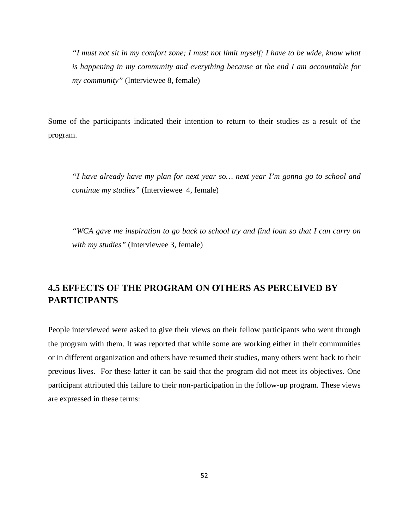*"I must not sit in my comfort zone; I must not limit myself; I have to be wide, know what is happening in my community and everything because at the end I am accountable for my community"* (Interviewee 8, female)

Some of the participants indicated their intention to return to their studies as a result of the program.

*"I have already have my plan for next year so… next year I'm gonna go to school and continue my studies"* (Interviewee 4, female)

*"WCA gave me inspiration to go back to school try and find loan so that I can carry on with my studies"* (Interviewee 3, female)

# **4.5 EFFECTS OF THE PROGRAM ON OTHERS AS PERCEIVED BY PARTICIPANTS**

People interviewed were asked to give their views on their fellow participants who went through the program with them. It was reported that while some are working either in their communities or in different organization and others have resumed their studies, many others went back to their previous lives. For these latter it can be said that the program did not meet its objectives. One participant attributed this failure to their non-participation in the follow-up program. These views are expressed in these terms: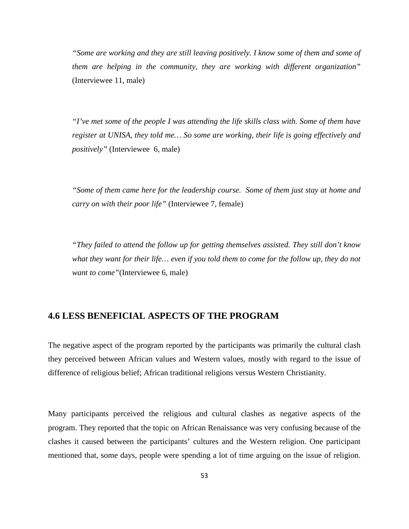*"Some are working and they are still leaving positively. I know some of them and some of them are helping in the community, they are working with different organization"*  (Interviewee 11, male)

*"I've met some of the people I was attending the life skills class with. Some of them have register at UNISA, they told me… So some are working, their life is going effectively and positively"* (Interviewee 6, male)

*"Some of them came here for the leadership course. Some of them just stay at home and carry on with their poor life"* (Interviewee 7, female)

*"They failed to attend the follow up for getting themselves assisted. They still don't know what they want for their life… even if you told them to come for the follow up, they do not want to come"*(Interviewee 6, male)

#### **4.6 LESS BENEFICIAL ASPECTS OF THE PROGRAM**

The negative aspect of the program reported by the participants was primarily the cultural clash they perceived between African values and Western values, mostly with regard to the issue of difference of religious belief; African traditional religions versus Western Christianity.

Many participants perceived the religious and cultural clashes as negative aspects of the program. They reported that the topic on African Renaissance was very confusing because of the clashes it caused between the participants' cultures and the Western religion. One participant mentioned that, some days, people were spending a lot of time arguing on the issue of religion.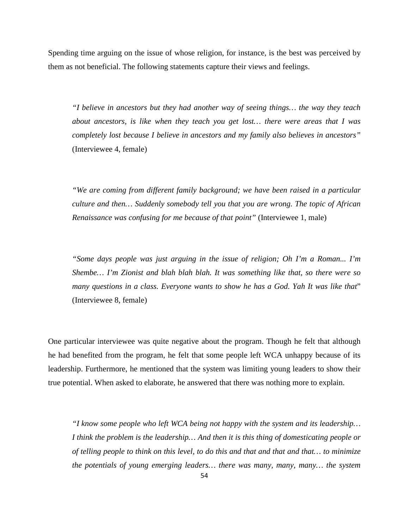Spending time arguing on the issue of whose religion, for instance, is the best was perceived by them as not beneficial. The following statements capture their views and feelings.

*"I believe in ancestors but they had another way of seeing things… the way they teach about ancestors, is like when they teach you get lost… there were areas that I was completely lost because I believe in ancestors and my family also believes in ancestors"*  (Interviewee 4, female)

*"We are coming from different family background; we have been raised in a particular culture and then… Suddenly somebody tell you that you are wrong. The topic of African Renaissance was confusing for me because of that point"* (Interviewee 1, male)

*"Some days people was just arguing in the issue of religion; Oh I'm a Roman... I'm Shembe… I'm Zionist and blah blah blah. It was something like that, so there were so many questions in a class. Everyone wants to show he has a God. Yah It was like that*" (Interviewee 8, female)

One particular interviewee was quite negative about the program. Though he felt that although he had benefited from the program, he felt that some people left WCA unhappy because of its leadership. Furthermore, he mentioned that the system was limiting young leaders to show their true potential. When asked to elaborate, he answered that there was nothing more to explain.

*"I know some people who left WCA being not happy with the system and its leadership… I think the problem is the leadership… And then it is this thing of domesticating people or of telling people to think on this level, to do this and that and that and that… to minimize the potentials of young emerging leaders… there was many, many, many… the system*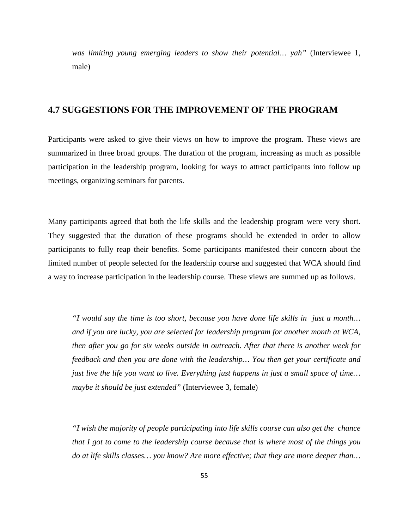*was limiting young emerging leaders to show their potential… yah"* (Interviewee 1, male)

#### **4.7 SUGGESTIONS FOR THE IMPROVEMENT OF THE PROGRAM**

Participants were asked to give their views on how to improve the program. These views are summarized in three broad groups. The duration of the program, increasing as much as possible participation in the leadership program, looking for ways to attract participants into follow up meetings, organizing seminars for parents.

Many participants agreed that both the life skills and the leadership program were very short. They suggested that the duration of these programs should be extended in order to allow participants to fully reap their benefits. Some participants manifested their concern about the limited number of people selected for the leadership course and suggested that WCA should find a way to increase participation in the leadership course. These views are summed up as follows.

*"I would say the time is too short, because you have done life skills in just a month… and if you are lucky, you are selected for leadership program for another month at WCA, then after you go for six weeks outside in outreach. After that there is another week for feedback and then you are done with the leadership… You then get your certificate and just live the life you want to live. Everything just happens in just a small space of time… maybe it should be just extended"* (Interviewee 3, female)

*"I wish the majority of people participating into life skills course can also get the chance that I got to come to the leadership course because that is where most of the things you do at life skills classes… you know? Are more effective; that they are more deeper than…*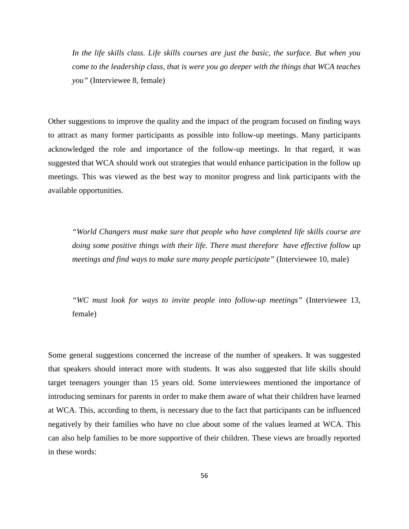*In the life skills class. Life skills courses are just the basic, the surface. But when you come to the leadership class, that is were you go deeper with the things that WCA teaches you"* (Interviewee 8, female)

Other suggestions to improve the quality and the impact of the program focused on finding ways to attract as many former participants as possible into follow-up meetings. Many participants acknowledged the role and importance of the follow-up meetings. In that regard, it was suggested that WCA should work out strategies that would enhance participation in the follow up meetings. This was viewed as the best way to monitor progress and link participants with the available opportunities.

*"World Changers must make sure that people who have completed life skills course are doing some positive things with their life. There must therefore have effective follow up meetings and find ways to make sure many people participate"* (Interviewee 10, male)

*"WC must look for ways to invite people into follow-up meetings"* (Interviewee 13, female)

Some general suggestions concerned the increase of the number of speakers. It was suggested that speakers should interact more with students. It was also suggested that life skills should target teenagers younger than 15 years old. Some interviewees mentioned the importance of introducing seminars for parents in order to make them aware of what their children have learned at WCA. This, according to them, is necessary due to the fact that participants can be influenced negatively by their families who have no clue about some of the values learned at WCA. This can also help families to be more supportive of their children. These views are broadly reported in these words: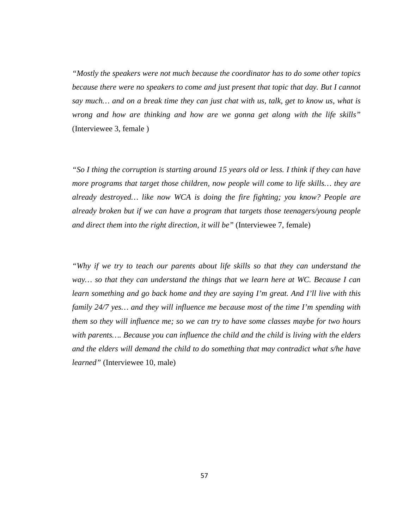*"Mostly the speakers were not much because the coordinator has to do some other topics because there were no speakers to come and just present that topic that day. But I cannot say much… and on a break time they can just chat with us, talk, get to know us, what is wrong and how are thinking and how are we gonna get along with the life skills"*  (Interviewee 3, female )

*"So I thing the corruption is starting around 15 years old or less. I think if they can have more programs that target those children, now people will come to life skills… they are already destroyed… like now WCA is doing the fire fighting; you know? People are already broken but if we can have a program that targets those teenagers/young people and direct them into the right direction, it will be"* (Interviewee 7, female)

*"Why if we try to teach our parents about life skills so that they can understand the way… so that they can understand the things that we learn here at WC. Because I can learn something and go back home and they are saying I'm great. And I'll live with this family 24/7 yes… and they will influence me because most of the time I'm spending with them so they will influence me; so we can try to have some classes maybe for two hours with parents…. Because you can influence the child and the child is living with the elders and the elders will demand the child to do something that may contradict what s/he have learned"* (Interviewee 10, male)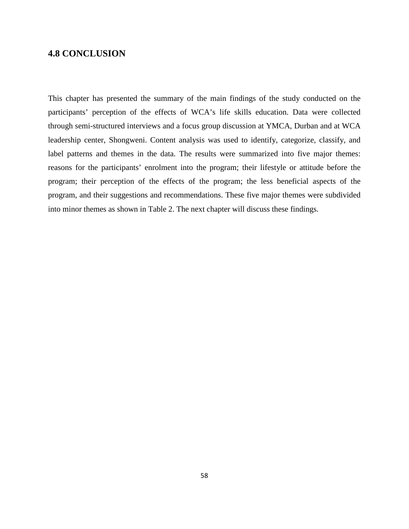### **4.8 CONCLUSION**

This chapter has presented the summary of the main findings of the study conducted on the participants' perception of the effects of WCA's life skills education. Data were collected through semi-structured interviews and a focus group discussion at YMCA, Durban and at WCA leadership center, Shongweni. Content analysis was used to identify, categorize, classify, and label patterns and themes in the data. The results were summarized into five major themes: reasons for the participants' enrolment into the program; their lifestyle or attitude before the program; their perception of the effects of the program; the less beneficial aspects of the program, and their suggestions and recommendations. These five major themes were subdivided into minor themes as shown in Table 2. The next chapter will discuss these findings.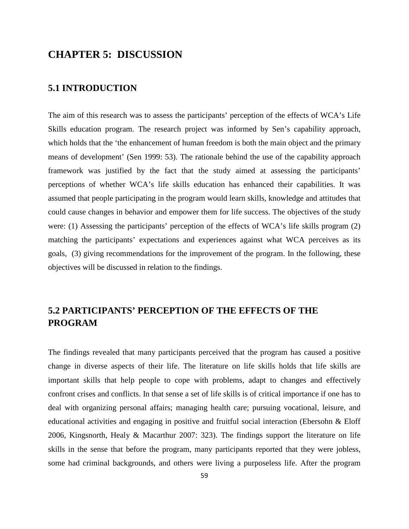# **CHAPTER 5: DISCUSSION**

#### **5.1 INTRODUCTION**

The aim of this research was to assess the participants' perception of the effects of WCA's Life Skills education program. The research project was informed by Sen's capability approach, which holds that the 'the enhancement of human freedom is both the main object and the primary means of development' (Sen 1999: 53). The rationale behind the use of the capability approach framework was justified by the fact that the study aimed at assessing the participants' perceptions of whether WCA's life skills education has enhanced their capabilities. It was assumed that people participating in the program would learn skills, knowledge and attitudes that could cause changes in behavior and empower them for life success. The objectives of the study were: (1) Assessing the participants' perception of the effects of WCA's life skills program (2) matching the participants' expectations and experiences against what WCA perceives as its goals, (3) giving recommendations for the improvement of the program. In the following, these objectives will be discussed in relation to the findings.

# **5.2 PARTICIPANTS' PERCEPTION OF THE EFFECTS OF THE PROGRAM**

The findings revealed that many participants perceived that the program has caused a positive change in diverse aspects of their life. The literature on life skills holds that life skills are important skills that help people to cope with problems, adapt to changes and effectively confront crises and conflicts. In that sense a set of life skills is of critical importance if one has to deal with organizing personal affairs; managing health care; pursuing vocational, leisure, and educational activities and engaging in positive and fruitful social interaction (Ebersohn & Eloff 2006, Kingsnorth, Healy & Macarthur 2007: 323). The findings support the literature on life skills in the sense that before the program, many participants reported that they were jobless, some had criminal backgrounds, and others were living a purposeless life. After the program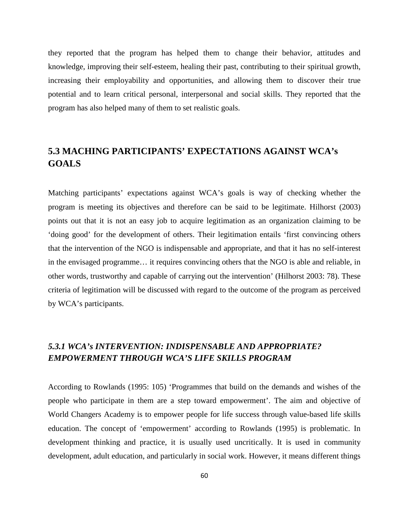they reported that the program has helped them to change their behavior, attitudes and knowledge, improving their self-esteem, healing their past, contributing to their spiritual growth, increasing their employability and opportunities, and allowing them to discover their true potential and to learn critical personal, interpersonal and social skills. They reported that the program has also helped many of them to set realistic goals.

# **5.3 MACHING PARTICIPANTS' EXPECTATIONS AGAINST WCA's GOALS**

Matching participants' expectations against WCA's goals is way of checking whether the program is meeting its objectives and therefore can be said to be legitimate. Hilhorst (2003) points out that it is not an easy job to acquire legitimation as an organization claiming to be 'doing good' for the development of others. Their legitimation entails 'first convincing others that the intervention of the NGO is indispensable and appropriate, and that it has no self-interest in the envisaged programme… it requires convincing others that the NGO is able and reliable, in other words, trustworthy and capable of carrying out the intervention' (Hilhorst 2003: 78). These criteria of legitimation will be discussed with regard to the outcome of the program as perceived by WCA's participants.

## *5.3.1 WCA's INTERVENTION: INDISPENSABLE AND APPROPRIATE? EMPOWERMENT THROUGH WCA'S LIFE SKILLS PROGRAM*

According to Rowlands (1995: 105) 'Programmes that build on the demands and wishes of the people who participate in them are a step toward empowerment'. The aim and objective of World Changers Academy is to empower people for life success through value-based life skills education. The concept of 'empowerment' according to Rowlands (1995) is problematic. In development thinking and practice, it is usually used uncritically. It is used in community development, adult education, and particularly in social work. However, it means different things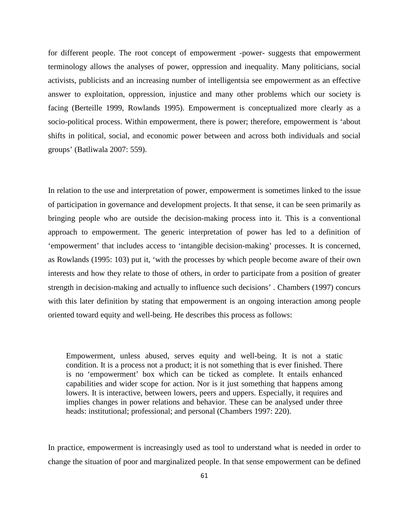for different people. The root concept of empowerment -power- suggests that empowerment terminology allows the analyses of power, oppression and inequality. Many politicians, social activists, publicists and an increasing number of intelligentsia see empowerment as an effective answer to exploitation, oppression, injustice and many other problems which our society is facing (Berteille 1999, Rowlands 1995). Empowerment is conceptualized more clearly as a socio-political process. Within empowerment, there is power; therefore, empowerment is 'about shifts in political, social, and economic power between and across both individuals and social groups' (Batliwala 2007: 559).

In relation to the use and interpretation of power, empowerment is sometimes linked to the issue of participation in governance and development projects. It that sense, it can be seen primarily as bringing people who are outside the decision-making process into it. This is a conventional approach to empowerment. The generic interpretation of power has led to a definition of 'empowerment' that includes access to 'intangible decision-making' processes. It is concerned, as Rowlands (1995: 103) put it, 'with the processes by which people become aware of their own interests and how they relate to those of others, in order to participate from a position of greater strength in decision-making and actually to influence such decisions' . Chambers (1997) concurs with this later definition by stating that empowerment is an ongoing interaction among people oriented toward equity and well-being. He describes this process as follows:

Empowerment, unless abused, serves equity and well-being. It is not a static condition. It is a process not a product; it is not something that is ever finished. There is no 'empowerment' box which can be ticked as complete. It entails enhanced capabilities and wider scope for action. Nor is it just something that happens among lowers. It is interactive, between lowers, peers and uppers. Especially, it requires and implies changes in power relations and behavior. These can be analysed under three heads: institutional; professional; and personal (Chambers 1997: 220).

In practice, empowerment is increasingly used as tool to understand what is needed in order to change the situation of poor and marginalized people. In that sense empowerment can be defined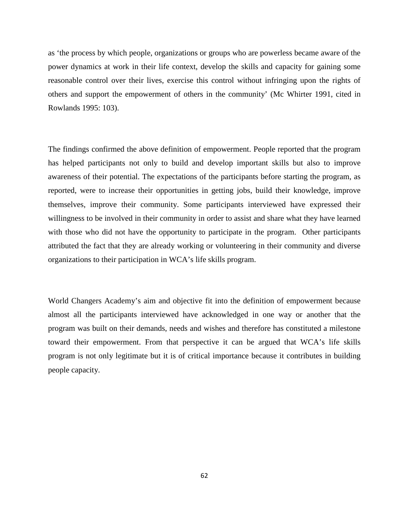as 'the process by which people, organizations or groups who are powerless became aware of the power dynamics at work in their life context, develop the skills and capacity for gaining some reasonable control over their lives, exercise this control without infringing upon the rights of others and support the empowerment of others in the community' (Mc Whirter 1991, cited in Rowlands 1995: 103).

The findings confirmed the above definition of empowerment. People reported that the program has helped participants not only to build and develop important skills but also to improve awareness of their potential. The expectations of the participants before starting the program, as reported, were to increase their opportunities in getting jobs, build their knowledge, improve themselves, improve their community. Some participants interviewed have expressed their willingness to be involved in their community in order to assist and share what they have learned with those who did not have the opportunity to participate in the program. Other participants attributed the fact that they are already working or volunteering in their community and diverse organizations to their participation in WCA's life skills program.

World Changers Academy's aim and objective fit into the definition of empowerment because almost all the participants interviewed have acknowledged in one way or another that the program was built on their demands, needs and wishes and therefore has constituted a milestone toward their empowerment. From that perspective it can be argued that WCA's life skills program is not only legitimate but it is of critical importance because it contributes in building people capacity.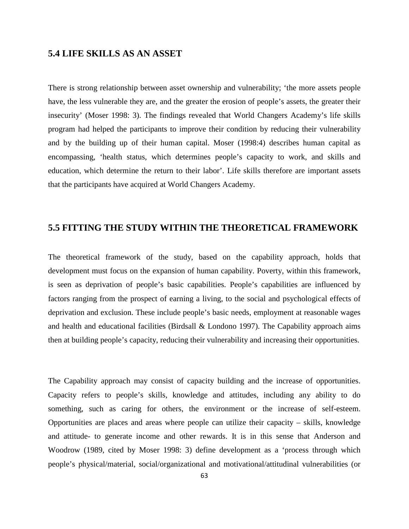### **5.4 LIFE SKILLS AS AN ASSET**

There is strong relationship between asset ownership and vulnerability; 'the more assets people have, the less vulnerable they are, and the greater the erosion of people's assets, the greater their insecurity' (Moser 1998: 3). The findings revealed that World Changers Academy's life skills program had helped the participants to improve their condition by reducing their vulnerability and by the building up of their human capital. Moser (1998:4) describes human capital as encompassing, 'health status, which determines people's capacity to work, and skills and education, which determine the return to their labor'. Life skills therefore are important assets that the participants have acquired at World Changers Academy.

### **5.5 FITTING THE STUDY WITHIN THE THEORETICAL FRAMEWORK**

The theoretical framework of the study, based on the capability approach, holds that development must focus on the expansion of human capability. Poverty, within this framework, is seen as deprivation of people's basic capabilities. People's capabilities are influenced by factors ranging from the prospect of earning a living, to the social and psychological effects of deprivation and exclusion. These include people's basic needs, employment at reasonable wages and health and educational facilities (Birdsall  $&$  Londono 1997). The Capability approach aims then at building people's capacity, reducing their vulnerability and increasing their opportunities.

The Capability approach may consist of capacity building and the increase of opportunities. Capacity refers to people's skills, knowledge and attitudes, including any ability to do something, such as caring for others, the environment or the increase of self-esteem. Opportunities are places and areas where people can utilize their capacity – skills, knowledge and attitude- to generate income and other rewards. It is in this sense that Anderson and Woodrow (1989, cited by Moser 1998: 3) define development as a 'process through which people's physical/material, social/organizational and motivational/attitudinal vulnerabilities (or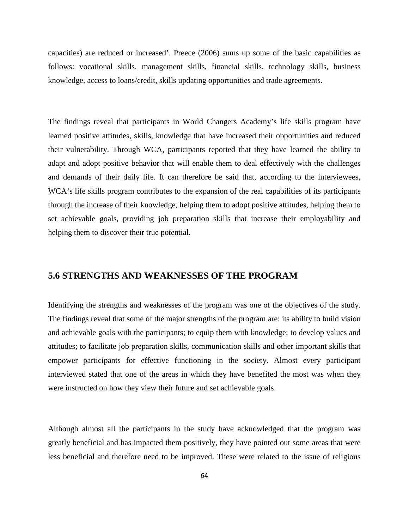capacities) are reduced or increased'. Preece (2006) sums up some of the basic capabilities as follows: vocational skills, management skills, financial skills, technology skills, business knowledge, access to loans/credit, skills updating opportunities and trade agreements.

The findings reveal that participants in World Changers Academy's life skills program have learned positive attitudes, skills, knowledge that have increased their opportunities and reduced their vulnerability. Through WCA, participants reported that they have learned the ability to adapt and adopt positive behavior that will enable them to deal effectively with the challenges and demands of their daily life. It can therefore be said that, according to the interviewees, WCA's life skills program contributes to the expansion of the real capabilities of its participants through the increase of their knowledge, helping them to adopt positive attitudes, helping them to set achievable goals, providing job preparation skills that increase their employability and helping them to discover their true potential.

### **5.6 STRENGTHS AND WEAKNESSES OF THE PROGRAM**

Identifying the strengths and weaknesses of the program was one of the objectives of the study. The findings reveal that some of the major strengths of the program are: its ability to build vision and achievable goals with the participants; to equip them with knowledge; to develop values and attitudes; to facilitate job preparation skills, communication skills and other important skills that empower participants for effective functioning in the society. Almost every participant interviewed stated that one of the areas in which they have benefited the most was when they were instructed on how they view their future and set achievable goals.

Although almost all the participants in the study have acknowledged that the program was greatly beneficial and has impacted them positively, they have pointed out some areas that were less beneficial and therefore need to be improved. These were related to the issue of religious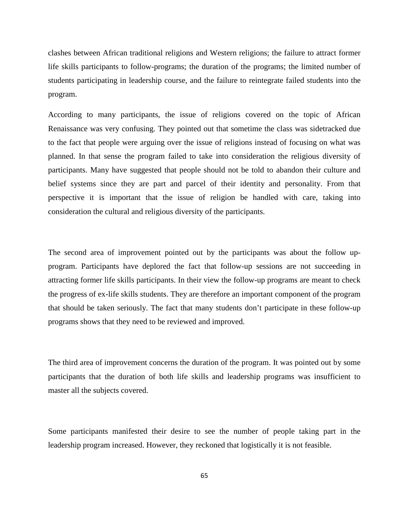clashes between African traditional religions and Western religions; the failure to attract former life skills participants to follow-programs; the duration of the programs; the limited number of students participating in leadership course, and the failure to reintegrate failed students into the program.

According to many participants, the issue of religions covered on the topic of African Renaissance was very confusing. They pointed out that sometime the class was sidetracked due to the fact that people were arguing over the issue of religions instead of focusing on what was planned. In that sense the program failed to take into consideration the religious diversity of participants. Many have suggested that people should not be told to abandon their culture and belief systems since they are part and parcel of their identity and personality. From that perspective it is important that the issue of religion be handled with care, taking into consideration the cultural and religious diversity of the participants.

The second area of improvement pointed out by the participants was about the follow upprogram. Participants have deplored the fact that follow-up sessions are not succeeding in attracting former life skills participants. In their view the follow-up programs are meant to check the progress of ex-life skills students. They are therefore an important component of the program that should be taken seriously. The fact that many students don't participate in these follow-up programs shows that they need to be reviewed and improved.

The third area of improvement concerns the duration of the program. It was pointed out by some participants that the duration of both life skills and leadership programs was insufficient to master all the subjects covered.

Some participants manifested their desire to see the number of people taking part in the leadership program increased. However, they reckoned that logistically it is not feasible.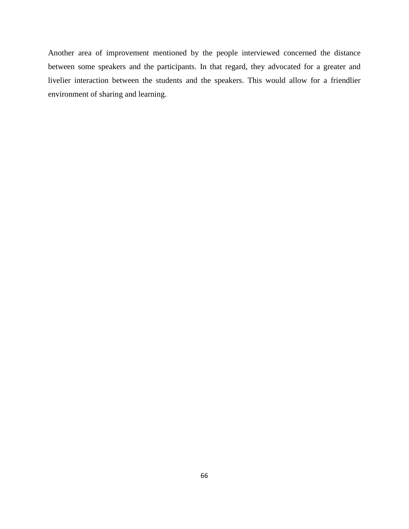Another area of improvement mentioned by the people interviewed concerned the distance between some speakers and the participants. In that regard, they advocated for a greater and livelier interaction between the students and the speakers. This would allow for a friendlier environment of sharing and learning.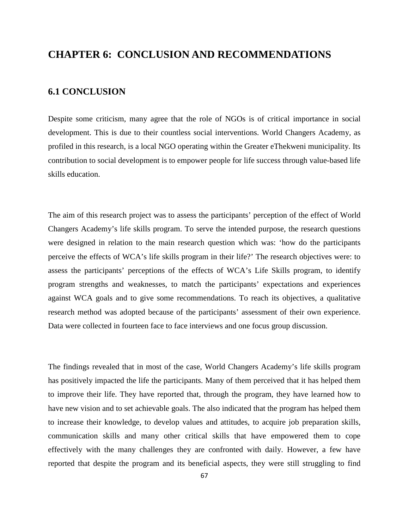# **CHAPTER 6: CONCLUSION AND RECOMMENDATIONS**

# **6.1 CONCLUSION**

Despite some criticism, many agree that the role of NGOs is of critical importance in social development. This is due to their countless social interventions. World Changers Academy, as profiled in this research, is a local NGO operating within the Greater eThekweni municipality. Its contribution to social development is to empower people for life success through value-based life skills education.

The aim of this research project was to assess the participants' perception of the effect of World Changers Academy's life skills program. To serve the intended purpose, the research questions were designed in relation to the main research question which was: 'how do the participants perceive the effects of WCA's life skills program in their life?' The research objectives were: to assess the participants' perceptions of the effects of WCA's Life Skills program, to identify program strengths and weaknesses, to match the participants' expectations and experiences against WCA goals and to give some recommendations. To reach its objectives, a qualitative research method was adopted because of the participants' assessment of their own experience. Data were collected in fourteen face to face interviews and one focus group discussion.

The findings revealed that in most of the case, World Changers Academy's life skills program has positively impacted the life the participants. Many of them perceived that it has helped them to improve their life. They have reported that, through the program, they have learned how to have new vision and to set achievable goals. The also indicated that the program has helped them to increase their knowledge, to develop values and attitudes, to acquire job preparation skills, communication skills and many other critical skills that have empowered them to cope effectively with the many challenges they are confronted with daily. However, a few have reported that despite the program and its beneficial aspects, they were still struggling to find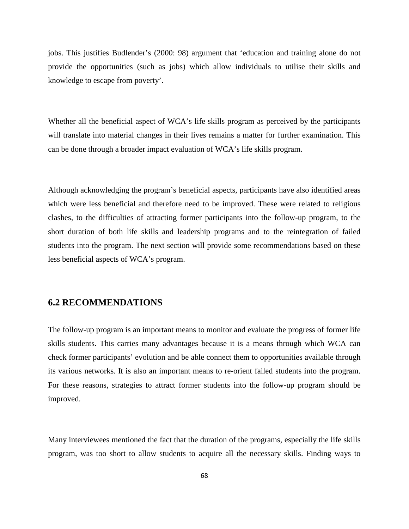jobs. This justifies Budlender's (2000: 98) argument that 'education and training alone do not provide the opportunities (such as jobs) which allow individuals to utilise their skills and knowledge to escape from poverty'.

Whether all the beneficial aspect of WCA's life skills program as perceived by the participants will translate into material changes in their lives remains a matter for further examination. This can be done through a broader impact evaluation of WCA's life skills program.

Although acknowledging the program's beneficial aspects, participants have also identified areas which were less beneficial and therefore need to be improved. These were related to religious clashes, to the difficulties of attracting former participants into the follow-up program, to the short duration of both life skills and leadership programs and to the reintegration of failed students into the program. The next section will provide some recommendations based on these less beneficial aspects of WCA's program.

## **6.2 RECOMMENDATIONS**

The follow-up program is an important means to monitor and evaluate the progress of former life skills students. This carries many advantages because it is a means through which WCA can check former participants' evolution and be able connect them to opportunities available through its various networks. It is also an important means to re-orient failed students into the program. For these reasons, strategies to attract former students into the follow-up program should be improved.

Many interviewees mentioned the fact that the duration of the programs, especially the life skills program, was too short to allow students to acquire all the necessary skills. Finding ways to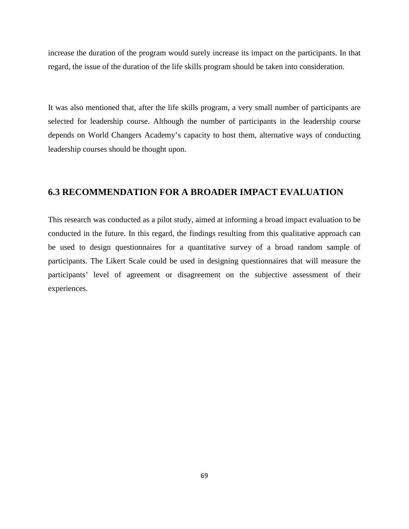increase the duration of the program would surely increase its impact on the participants. In that regard, the issue of the duration of the life skills program should be taken into consideration.

It was also mentioned that, after the life skills program, a very small number of participants are selected for leadership course. Although the number of participants in the leadership course depends on World Changers Academy's capacity to host them, alternative ways of conducting leadership courses should be thought upon.

## **6.3 RECOMMENDATION FOR A BROADER IMPACT EVALUATION**

This research was conducted as a pilot study, aimed at informing a broad impact evaluation to be conducted in the future. In this regard, the findings resulting from this qualitative approach can be used to design questionnaires for a quantitative survey of a broad random sample of participants. The Likert Scale could be used in designing questionnaires that will measure the participants' level of agreement or disagreement on the subjective assessment of their experiences.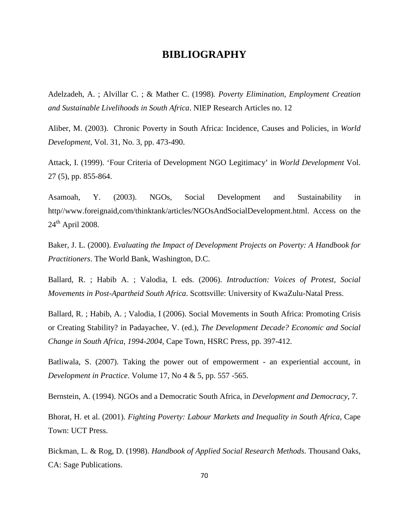# **BIBLIOGRAPHY**

Adelzadeh, A. ; Alvillar C. ; & Mather C. (1998)*. Poverty Elimination, Employment Creation and Sustainable Livelihoods in South Africa*. NIEP Research Articles no. 12

Aliber, M. (2003). Chronic Poverty in South Africa: Incidence, Causes and Policies, in *World Development,* Vol. 31, No. 3, pp. 473-490.

Attack, I. (1999). 'Four Criteria of Development NGO Legitimacy' in *World Development* Vol. 27 (5), pp. 855-864.

Asamoah, Y. (2003). NGOs, Social Development and Sustainability in http//www.foreignaid,com/thinktank/articles/NGOsAndSocialDevelopment.html. Access on the  $24<sup>th</sup>$  April 2008.

Baker, J. L. (2000). *Evaluating the Impact of Development Projects on Poverty: A Handbook for Practitioners*. The World Bank, Washington, D.C.

Ballard, R. ; Habib A. ; Valodia, I. eds. (2006). *Introduction: Voices of Protest, Social Movements in Post-Apartheid South Africa*. Scottsville: University of KwaZulu-Natal Press.

Ballard, R. ; Habib, A. ; Valodia, I (2006). Social Movements in South Africa: Promoting Crisis or Creating Stability? in Padayachee, V. (ed.), *The Development Decade? Economic and Social Change in South Africa, 1994-2004*, Cape Town, HSRC Press, pp. 397-412.

Batliwala, S. (2007). Taking the power out of empowerment - an experiential account, in *Development in Practice*. Volume 17, No 4 & 5, pp. 557 -565.

Bernstein, A. (1994). NGOs and a Democratic South Africa, in *Development and Democracy*, 7.

Bhorat, H. et al. (2001). *Fighting Poverty: Labour Markets and Inequality in South Africa*, Cape Town: UCT Press.

Bickman, L. & Rog, D. (1998). *Handbook of Applied Social Research Methods*. Thousand Oaks, CA: Sage Publications.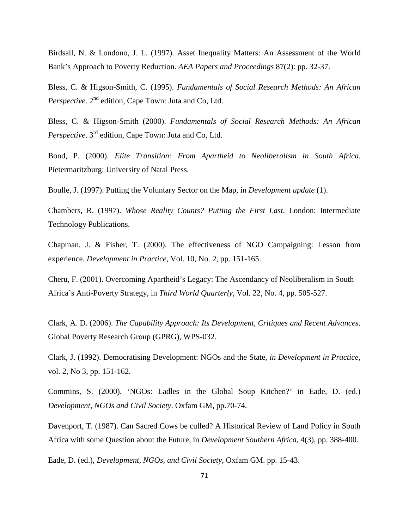Birdsall, N. & Londono, J. L. (1997). Asset Inequality Matters: An Assessment of the World Bank's Approach to Poverty Reduction. *AEA Papers and Proceedings* 87(2): pp. 32-37.

Bless, C. & Higson-Smith, C. (1995). *Fundamentals of Social Research Methods: An African Perspective.* 2<sup>nd</sup> edition, Cape Town: Juta and Co, Ltd.

Bless, C. & Higson-Smith (2000). *Fundamentals of Social Research Methods: An African Perspective*. 3rd edition, Cape Town: Juta and Co, Ltd.

Bond, P. (2000). *Elite Transition: From Apartheid to Neoliberalism in South Africa*. Pietermaritzburg: University of Natal Press.

Boulle, J. (1997). Putting the Voluntary Sector on the Map, in *Development update* (1).

Chambers, R. (1997). *Whose Reality Counts? Putting the First Last*. London: Intermediate Technology Publications.

Chapman, J. & Fisher, T. (2000). The effectiveness of NGO Campaigning: Lesson from experience. *Development in Practice*, Vol. 10, No. 2, pp. 151-165.

Cheru, F. (2001). Overcoming Apartheid's Legacy: The Ascendancy of Neoliberalism in South Africa's Anti-Poverty Strategy, in *Third World Quarterly*, Vol. 22, No. 4, pp. 505-527.

Clark, A. D. (2006). *The Capability Approach: Its Development, Critiques and Recent Advances*. Global Poverty Research Group (GPRG), WPS-032.

Clark, J. (1992). Democratising Development: NGOs and the State*, in Development in Practice*, vol. 2, No 3, pp. 151-162.

Commins, S. (2000). 'NGOs: Ladles in the Global Soup Kitchen?' in Eade, D. (ed.) *Development, NGOs and Civil Society*. Oxfam GM, pp.70-74.

Davenport, T. (1987). Can Sacred Cows be culled? A Historical Review of Land Policy in South Africa with some Question about the Future, in *Development Southern Africa*, 4(3), pp. 388-400.

Eade, D. (ed.), *Development, NGOs, and Civil Society*, Oxfam GM. pp. 15-43.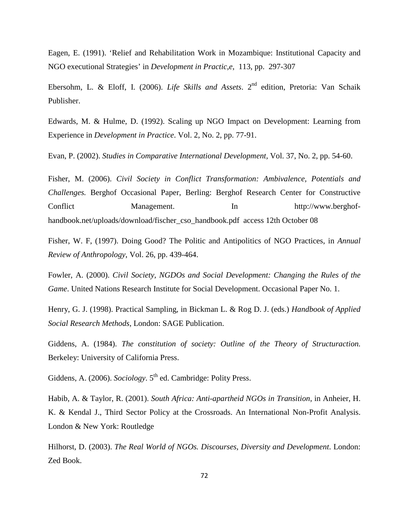Eagen, E. (1991). 'Relief and Rehabilitation Work in Mozambique: Institutional Capacity and NGO executional Strategies' in *Development in Practic,e*, 113, pp. 297-307

Ebersohm, L. & Eloff, I. (2006). *Life Skills and Assets*. 2<sup>nd</sup> edition, Pretoria: Van Schaik Publisher.

Edwards, M. & Hulme, D. (1992). Scaling up NGO Impact on Development: Learning from Experience in *Development in Practice*. Vol. 2, No. 2, pp. 77-91.

Evan, P. (2002). *Studies in Comparative International Development,* Vol. 37, No. 2, pp. 54-60.

Fisher, M. (2006). *Civil Society in Conflict Transformation: Ambivalence, Potentials and Challenges.* Berghof Occasional Paper, Berling: Berghof Research Center for Constructive Conflict Management. In http://www.berghofhandbook.net/uploads/download/fischer\_cso\_handbook.pdf access 12th October 08

Fisher, W. F, (1997). Doing Good? The Politic and Antipolitics of NGO Practices, in *Annual Review of Anthropology*, Vol. 26, pp. 439-464.

Fowler, A. (2000). *Civil Society, NGDOs and Social Development: Changing the Rules of the Game*. United Nations Research Institute for Social Development. Occasional Paper No. 1.

Henry, G. J. (1998). Practical Sampling, in Bickman L. & Rog D. J. (eds.) *Handbook of Applied Social Research Methods*, London: SAGE Publication.

Giddens, A. (1984). *The constitution of society: Outline of the Theory of Structuraction.* Berkeley: University of California Press.

Giddens, A. (2006). *Sociology*. 5<sup>th</sup> ed. Cambridge: Polity Press.

Habib, A. & Taylor, R. (2001). *South Africa: Anti-apartheid NGOs in Transition*, in Anheier, H. K. & Kendal J., Third Sector Policy at the Crossroads. An International Non-Profit Analysis. London & New York: Routledge

Hilhorst, D. (2003). *The Real World of NGOs. Discourses, Diversity and Development*. London: Zed Book.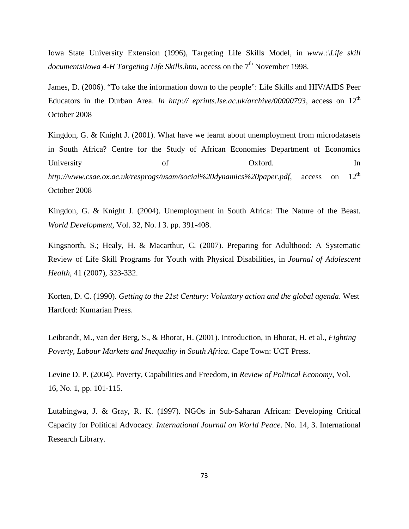Iowa State University Extension (1996), Targeting Life Skills Model, in *www.:\Life skill documents\Iowa 4-H Targeting Life Skills.htm, access on the 7<sup>th</sup> November 1998.* 

James, D. (2006). "To take the information down to the people": Life Skills and HIV/AIDS Peer Educators in the Durban Area. *In http:// eprints.Ise.ac.uk/archive/00000793*, access on 12<sup>th</sup> October 2008

Kingdon, G. & Knight J. (2001). What have we learnt about unemployment from microdatasets in South Africa? Centre for the Study of African Economies Department of Economics University of Oxford. In *http://www.csae.ox.ac.uk/resprogs/usam/social%20dynamics%20paper.pdf*, access on 12th October 2008

Kingdon, G. & Knight J. (2004). Unemployment in South Africa: The Nature of the Beast. *World Development,* Vol. 32, No. l 3. pp. 391-408.

Kingsnorth, S.; Healy, H. & Macarthur, C. (2007). Preparing for Adulthood: A Systematic Review of Life Skill Programs for Youth with Physical Disabilities, in *Journal of Adolescent Health*, 41 (2007), 323-332.

Korten, D. C. (1990). *Getting to the 21st Century: Voluntary action and the global agenda*. West Hartford: Kumarian Press.

Leibrandt, M., van der Berg, S., & Bhorat, H. (2001). Introduction, in Bhorat, H. et al., *Fighting Poverty, Labour Markets and Inequality in South Africa*. Cape Town: UCT Press.

Levine D. P. (2004). Poverty, Capabilities and Freedom, in *Review of Political Economy*, Vol. 16, No. 1, pp. 101-115.

Lutabingwa, J. & Gray, R. K. (1997). NGOs in Sub-Saharan African: Developing Critical Capacity for Political Advocacy. *International Journal on World Peace*. No. 14, 3. International Research Library.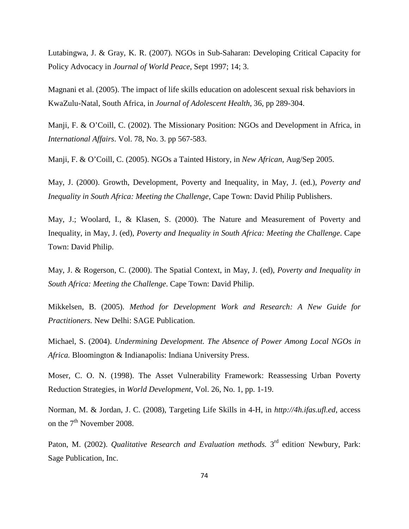Lutabingwa, J. & Gray, K. R. (2007). NGOs in Sub-Saharan: Developing Critical Capacity for Policy Advocacy in *Journal of World Peace*, Sept 1997; 14; 3.

Magnani et al. (2005). The impact of life skills education on adolescent sexual risk behaviors in KwaZulu-Natal, South Africa, in *Journal of Adolescent Health*, 36, pp 289-304.

Manji, F. & O'Coill, C. (2002). The Missionary Position: NGOs and Development in Africa, in *International Affairs*. Vol. 78, No. 3. pp 567-583.

Manji, F. & O'Coill, C. (2005). NGOs a Tainted History, in *New African*, Aug/Sep 2005.

May, J. (2000). Growth, Development, Poverty and Inequality, in May, J. (ed.), *Poverty and Inequality in South Africa: Meeting the Challenge*, Cape Town: David Philip Publishers.

May, J.; Woolard, I., & Klasen, S. (2000). The Nature and Measurement of Poverty and Inequality, in May, J. (ed), *Poverty and Inequality in South Africa: Meeting the Challenge*. Cape Town: David Philip.

May, J. & Rogerson, C. (2000). The Spatial Context, in May, J. (ed), *Poverty and Inequality in South Africa: Meeting the Challenge*. Cape Town: David Philip.

Mikkelsen, B. (2005). *Method for Development Work and Research: A New Guide for Practitioners.* New Delhi: SAGE Publication.

Michael, S. (2004). *Undermining Development. The Absence of Power Among Local NGOs in Africa.* Bloomington & Indianapolis: Indiana University Press.

Moser, C. O. N. (1998). The Asset Vulnerability Framework: Reassessing Urban Poverty Reduction Strategies, in *World Development*, Vol. 26, No. 1, pp. 1-19.

Norman, M. & Jordan, J. C. (2008), Targeting Life Skills in 4-H, in *http://4h.ifas.ufl.ed*, access on the  $7<sup>th</sup>$  November 2008.

Paton, M. (2002). *Qualitative Research and Evaluation methods*. 3<sup>rd</sup> edition Newbury, Park: Sage Publication, Inc.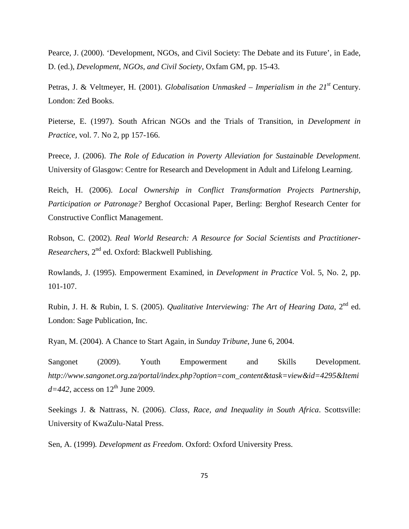Pearce, J. (2000). 'Development, NGOs, and Civil Society: The Debate and its Future', in Eade, D. (ed.), *Development, NGOs, and Civil Society*, Oxfam GM, pp. 15-43.

Petras, J. & Veltmeyer, H. (2001). *Globalisation Unmasked – Imperialism in the 21st* Century. London: Zed Books.

Pieterse, E. (1997). South African NGOs and the Trials of Transition, in *Development in Practice*, vol. 7. No 2, pp 157-166.

Preece, J. (2006). *The Role of Education in Poverty Alleviation for Sustainable Development.* University of Glasgow: Centre for Research and Development in Adult and Lifelong Learning.

Reich, H. (2006). *Local Ownership in Conflict Transformation Projects Partnership, Participation or Patronage?* Berghof Occasional Paper, Berling: Berghof Research Center for Constructive Conflict Management.

Robson, C. (2002). *Real World Research: A Resource for Social Scientists and Practitioner-Researchers*, 2nd ed. Oxford: Blackwell Publishing.

Rowlands, J. (1995). Empowerment Examined, in *Development in Practice* Vol. 5, No. 2, pp. 101-107.

Rubin, J. H. & Rubin, I. S. (2005). *Qualitative Interviewing: The Art of Hearing Data*, 2<sup>nd</sup> ed. London: Sage Publication, Inc.

Ryan, M. (2004). A Chance to Start Again, in *Sunday Tribune*, June 6, 2004.

Sangonet (2009). Youth Empowerment and Skills Development. *http://www.sangonet.org.za/portal/index.php?option=com\_content&task=view&id=4295&Itemi*  $d=442$ , access on  $12<sup>th</sup>$  June 2009.

Seekings J. & Nattrass, N. (2006). *Class, Race, and Inequality in South Africa*. Scottsville: University of KwaZulu-Natal Press.

Sen, A. (1999)*. Development as Freedom*. Oxford: Oxford University Press.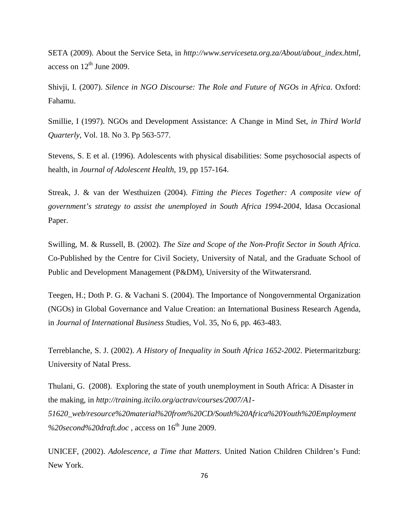SETA (2009). About the Service Seta, in *http://www.serviceseta.org.za/About/about\_index.html*, access on  $12<sup>th</sup>$  June 2009.

Shivji, I. (2007). *Silence in NGO Discourse: The Role and Future of NGOs in Africa*. Oxford: Fahamu.

Smillie, I (1997). NGOs and Development Assistance: A Change in Mind Set, *in Third World Quarterly*, Vol. 18. No 3. Pp 563-577.

Stevens, S. E et al. (1996). Adolescents with physical disabilities: Some psychosocial aspects of health, in *Journal of Adolescent Health*, 19, pp 157-164.

Streak, J. & van der Westhuizen (2004). *Fitting the Pieces Together: A composite view of government's strategy to assist the unemployed in South Africa 1994-2004*, Idasa Occasional Paper.

Swilling, M. & Russell, B. (2002). *The Size and Scope of the Non-Profit Sector in South Africa.* Co-Published by the Centre for Civil Society, University of Natal, and the Graduate School of Public and Development Management (P&DM), University of the Witwatersrand.

Teegen, H.; Doth P. G. & Vachani S. (2004). The Importance of Nongovernmental Organization (NGOs) in Global Governance and Value Creation: an International Business Research Agenda, in *Journal of International Business S*tudies, Vol. 35, No 6, pp. 463-483.

Terreblanche, S. J. (2002). *A History of Inequality in South Africa 1652-2002*. Pietermaritzburg: University of Natal Press.

Thulani, G. (2008). Exploring the state of youth unemployment in South Africa: A Disaster in the making, in *http://training.itcilo.org/actrav/courses/2007/A1- 51620\_web/resource%20material%20from%20CD/South%20Africa%20Youth%20Employment* %20second%20draft.doc, access on 16<sup>th</sup> June 2009.

UNICEF, (2002). *Adolescence, a Time that Matters*. United Nation Children Children's Fund: New York.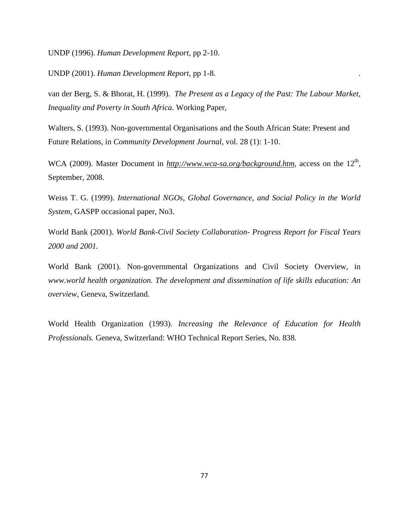UNDP (1996). *Human Development Report*, pp 2-10.

UNDP (2001). *Human Development Report*, pp 1-8. .

van der Berg, S. & Bhorat, H. (1999). *The Present as a Legacy of the Past: The Labour Market, Inequality and Poverty in South Africa*. Working Paper,

Walters, S. (1993). Non-governmental Organisations and the South African State: Present and Future Relations, in *Community Development Journal*, vol. 28 (1): 1-10.

WCA (2009). Master Document in *http://www.wca-sa.org/background.htm*, access on the 12<sup>th</sup>, September, 2008.

Weiss T. G. (1999). *International NGOs, Global Governance, and Social Policy in the World System*, GASPP occasional paper, No3.

World Bank (2001). *World Bank-Civil Society Collaboration- Progress Report for Fiscal Years 2000 and 2001.* 

World Bank (2001). Non-governmental Organizations and Civil Society Overview, in *www.world health organization. The development and dissemination of life skills education: An overview,* Geneva, Switzerland.

World Health Organization (1993). *Increasing the Relevance of Education for Health Professionals.* Geneva, Switzerland: WHO Technical Report Series, No. 838.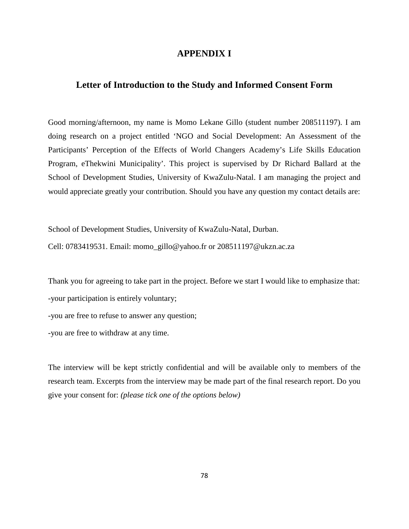### **APPENDIX I**

# **Letter of Introduction to the Study and Informed Consent Form**

Good morning/afternoon, my name is Momo Lekane Gillo (student number 208511197). I am doing research on a project entitled 'NGO and Social Development: An Assessment of the Participants' Perception of the Effects of World Changers Academy's Life Skills Education Program, eThekwini Municipality'. This project is supervised by Dr Richard Ballard at the School of Development Studies, University of KwaZulu-Natal. I am managing the project and would appreciate greatly your contribution. Should you have any question my contact details are:

School of Development Studies, University of KwaZulu-Natal, Durban. Cell: 0783419531. Email: momo\_gillo@yahoo.fr or 208511197@ukzn.ac.za

Thank you for agreeing to take part in the project. Before we start I would like to emphasize that:

-your participation is entirely voluntary;

-you are free to refuse to answer any question;

-you are free to withdraw at any time.

The interview will be kept strictly confidential and will be available only to members of the research team. Excerpts from the interview may be made part of the final research report. Do you give your consent for: *(please tick one of the options below)*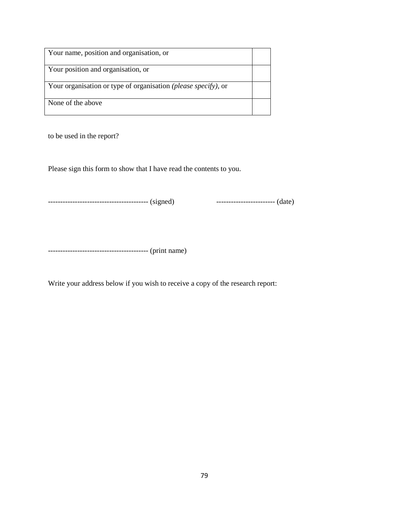| Your name, position and organisation, or                               |  |
|------------------------------------------------------------------------|--|
| Your position and organisation, or                                     |  |
| Your organisation or type of organisation <i>(please specify)</i> , or |  |
| None of the above                                                      |  |

to be used in the report?

Please sign this form to show that I have read the contents to you.

----------------------------------------- (signed) ------------------------ (date)

----------------------------------------- (print name)

Write your address below if you wish to receive a copy of the research report: